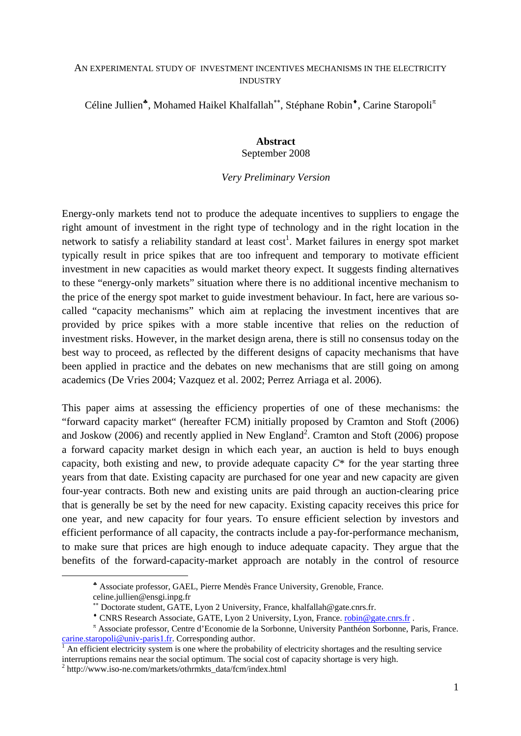#### AN EXPERIMENTAL STUDY OF INVESTMENT INCENTIVES MECHANISMS IN THE ELECTRICITY INDUSTRY

Céline Jullien<sup>∗</sup>, Mohamed Haikel Khalfallah<sup>∗∗</sup>, Stéphane Robin<sup>◆</sup>, Carine Staropoli<sup>π</sup>

#### **Abstract**  September 2008

### *Very Preliminary Version*

Energy-only markets tend not to produce the adequate incentives to suppliers to engage the right amount of investment in the right type of technology and in the right location in the network to satisfy a reliability standard at least  $cost<sup>1</sup>$ . Market failures in energy spot market typically result in price spikes that are too infrequent and temporary to motivate efficient investment in new capacities as would market theory expect. It suggests finding alternatives to these "energy-only markets" situation where there is no additional incentive mechanism to the price of the energy spot market to guide investment behaviour. In fact, here are various socalled "capacity mechanisms" which aim at replacing the investment incentives that are provided by price spikes with a more stable incentive that relies on the reduction of investment risks. However, in the market design arena, there is still no consensus today on the best way to proceed, as reflected by the different designs of capacity mechanisms that have been applied in practice and the debates on new mechanisms that are still going on among academics (De Vries 2004; Vazquez et al. 2002; Perrez Arriaga et al. 2006).

This paper aims at assessing the efficiency properties of one of these mechanisms: the "forward capacity market" (hereafter FCM) initially proposed by Cramton and Stoft (2006) and Joskow (2006) and recently applied in New England<sup>2</sup>. Cramton and Stoft (2006) propose a forward capacity market design in which each year, an auction is held to buys enough capacity, both existing and new, to provide adequate capacity *C*\* for the year starting three years from that date. Existing capacity are purchased for one year and new capacity are given four-year contracts. Both new and existing units are paid through an auction-clearing price that is generally be set by the need for new capacity. Existing capacity receives this price for one year, and new capacity for four years. To ensure efficient selection by investors and efficient performance of all capacity, the contracts include a pay-for-performance mechanism, to make sure that prices are high enough to induce adequate capacity. They argue that the benefits of the forward-capacity-market approach are notably in the control of resource

1

 $h<sup>2</sup>$  http://www.iso-ne.com/markets/othrmkts\_data/fcm/index.html

<sup>♣</sup> Associate professor, GAEL, Pierre Mendès France University, Grenoble, France.

celine.jullien@ensgi.inpg.fr

<sup>∗∗</sup> Doctorate student, GATE, Lyon 2 University, France, khalfallah@gate.cnrs.fr.

<sup>♦</sup> CNRS Research Associate, GATE, Lyon 2 University, Lyon, France. robin@gate.cnrs.fr .

π Associate professor, Centre d'Economie de la Sorbonne, University Panthéon Sorbonne, Paris, France. carine.staropoli@univ-paris1.fr. Corresponding author.

An efficient electricity system is one where the probability of electricity shortages and the resulting service interruptions remains near the social optimum. The social cost of capacity shortage is very high. 2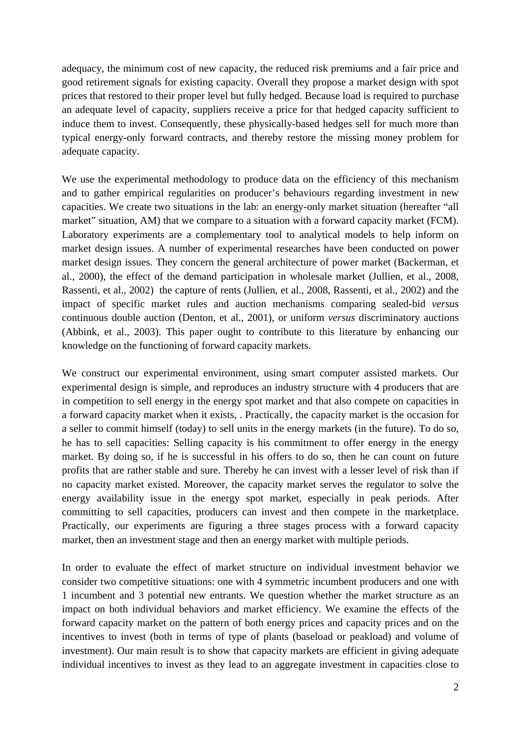adequacy, the minimum cost of new capacity, the reduced risk premiums and a fair price and good retirement signals for existing capacity. Overall they propose a market design with spot prices that restored to their proper level but fully hedged. Because load is required to purchase an adequate level of capacity, suppliers receive a price for that hedged capacity sufficient to induce them to invest. Consequently, these physically-based hedges sell for much more than typical energy-only forward contracts, and thereby restore the missing money problem for adequate capacity.

We use the experimental methodology to produce data on the efficiency of this mechanism and to gather empirical regularities on producer's behaviours regarding investment in new capacities. We create two situations in the lab: an energy-only market situation (hereafter "all market" situation, AM) that we compare to a situation with a forward capacity market (FCM). Laboratory experiments are a complementary tool to analytical models to help inform on market design issues. A number of experimental researches have been conducted on power market design issues. They concern the general architecture of power market (Backerman, et al., 2000), the effect of the demand participation in wholesale market (Jullien, et al., 2008, Rassenti, et al., 2002) the capture of rents (Jullien, et al., 2008, Rassenti, et al., 2002) and the impact of specific market rules and auction mechanisms comparing sealed-bid *versus* continuous double auction (Denton, et al., 2001), or uniform *versus* discriminatory auctions (Abbink, et al., 2003). This paper ought to contribute to this literature by enhancing our knowledge on the functioning of forward capacity markets.

We construct our experimental environment, using smart computer assisted markets. Our experimental design is simple, and reproduces an industry structure with 4 producers that are in competition to sell energy in the energy spot market and that also compete on capacities in a forward capacity market when it exists, . Practically, the capacity market is the occasion for a seller to commit himself (today) to sell units in the energy markets (in the future). To do so, he has to sell capacities: Selling capacity is his commitment to offer energy in the energy market. By doing so, if he is successful in his offers to do so, then he can count on future profits that are rather stable and sure. Thereby he can invest with a lesser level of risk than if no capacity market existed. Moreover, the capacity market serves the regulator to solve the energy availability issue in the energy spot market, especially in peak periods. After committing to sell capacities, producers can invest and then compete in the marketplace. Practically, our experiments are figuring a three stages process with a forward capacity market, then an investment stage and then an energy market with multiple periods.

In order to evaluate the effect of market structure on individual investment behavior we consider two competitive situations: one with 4 symmetric incumbent producers and one with 1 incumbent and 3 potential new entrants. We question whether the market structure as an impact on both individual behaviors and market efficiency. We examine the effects of the forward capacity market on the pattern of both energy prices and capacity prices and on the incentives to invest (both in terms of type of plants (baseload or peakload) and volume of investment). Our main result is to show that capacity markets are efficient in giving adequate individual incentives to invest as they lead to an aggregate investment in capacities close to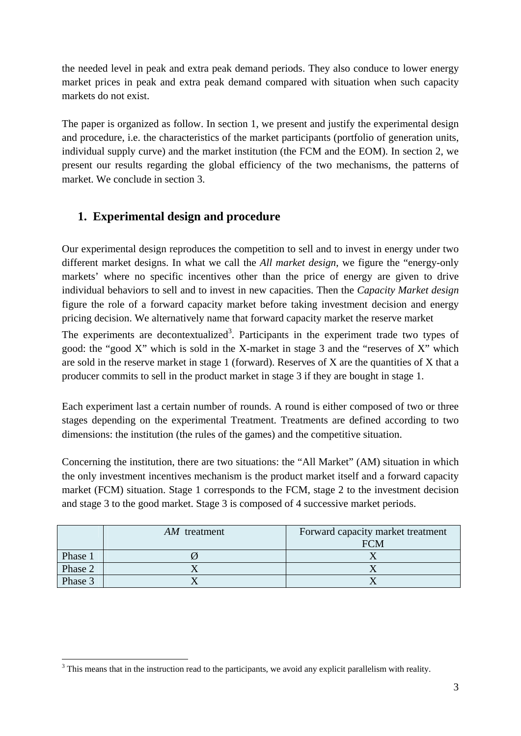the needed level in peak and extra peak demand periods. They also conduce to lower energy market prices in peak and extra peak demand compared with situation when such capacity markets do not exist.

The paper is organized as follow. In section 1, we present and justify the experimental design and procedure, i.e. the characteristics of the market participants (portfolio of generation units, individual supply curve) and the market institution (the FCM and the EOM). In section 2, we present our results regarding the global efficiency of the two mechanisms, the patterns of market. We conclude in section 3.

## **1. Experimental design and procedure**

Our experimental design reproduces the competition to sell and to invest in energy under two different market designs. In what we call the *All market design*, we figure the "energy-only markets' where no specific incentives other than the price of energy are given to drive individual behaviors to sell and to invest in new capacities. Then the *Capacity Market design* figure the role of a forward capacity market before taking investment decision and energy pricing decision. We alternatively name that forward capacity market the reserve market

The experiments are decontextualized<sup>3</sup>. Participants in the experiment trade two types of good: the "good X" which is sold in the X-market in stage 3 and the "reserves of X" which are sold in the reserve market in stage 1 (forward). Reserves of X are the quantities of X that a producer commits to sell in the product market in stage 3 if they are bought in stage 1.

Each experiment last a certain number of rounds. A round is either composed of two or three stages depending on the experimental Treatment. Treatments are defined according to two dimensions: the institution (the rules of the games) and the competitive situation.

Concerning the institution, there are two situations: the "All Market" (AM) situation in which the only investment incentives mechanism is the product market itself and a forward capacity market (FCM) situation. Stage 1 corresponds to the FCM, stage 2 to the investment decision and stage 3 to the good market. Stage 3 is composed of 4 successive market periods.

|         | AM treatment | Forward capacity market treatment<br>FCM |
|---------|--------------|------------------------------------------|
| Phase 1 |              |                                          |
| Phase 2 |              |                                          |
| Phase 3 |              |                                          |

<sup>&</sup>lt;sup>3</sup>This means that in the instruction read to the participants, we avoid any explicit parallelism with reality.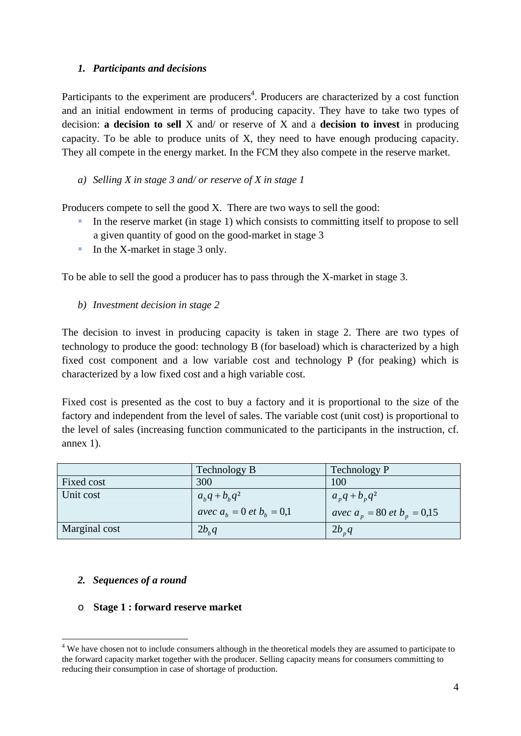## *1. Participants and decisions*

Participants to the experiment are producers<sup>4</sup>. Producers are characterized by a cost function and an initial endowment in terms of producing capacity. They have to take two types of decision: **a decision to sell** X and/ or reserve of X and a **decision to invest** in producing capacity. To be able to produce units of X, they need to have enough producing capacity. They all compete in the energy market. In the FCM they also compete in the reserve market.

## *a) Selling X in stage 3 and/ or reserve of X in stage 1*

Producers compete to sell the good X. There are two ways to sell the good:

- In the reserve market (in stage 1) which consists to committing itself to propose to sell a given quantity of good on the good-market in stage 3
- In the X-market in stage 3 only.

To be able to sell the good a producer has to pass through the X-market in stage 3.

*b) Investment decision in stage 2* 

The decision to invest in producing capacity is taken in stage 2. There are two types of technology to produce the good: technology B (for baseload) which is characterized by a high fixed cost component and a low variable cost and technology P (for peaking) which is characterized by a low fixed cost and a high variable cost.

Fixed cost is presented as the cost to buy a factory and it is proportional to the size of the factory and independent from the level of sales. The variable cost (unit cost) is proportional to the level of sales (increasing function communicated to the participants in the instruction, cf. annex 1).

|               | Technology B                  | <b>Technology P</b>             |
|---------------|-------------------------------|---------------------------------|
| Fixed cost    | 300                           | 100                             |
| Unit cost     | $a_{h}q + b_{h}q^{2}$         | $a_n q + b_n q^2$               |
|               | avec $a_h = 0$ et $b_h = 0.1$ | avec $a_p = 80$ et $b_p = 0.15$ |
| Marginal cost | 2b <sub>b</sub> q             | $2b_n q$                        |

### *2. Sequences of a round*

1

o **Stage 1 : forward reserve market** 

<sup>&</sup>lt;sup>4</sup> We have chosen not to include consumers although in the theoretical models they are assumed to participate to the forward capacity market together with the producer. Selling capacity means for consumers committing to reducing their consumption in case of shortage of production.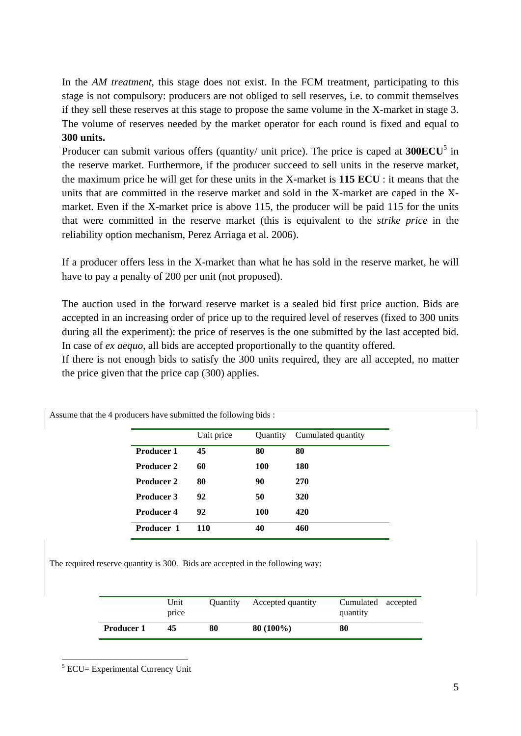In the *AM treatment*, this stage does not exist. In the FCM treatment, participating to this stage is not compulsory: producers are not obliged to sell reserves, i.e. to commit themselves if they sell these reserves at this stage to propose the same volume in the X-market in stage 3. The volume of reserves needed by the market operator for each round is fixed and equal to **300 units.**

Producer can submit various offers (quantity/ unit price). The price is caped at **300ECU**<sup>5</sup> in the reserve market. Furthermore, if the producer succeed to sell units in the reserve market, the maximum price he will get for these units in the X-market is **115 ECU** : it means that the units that are committed in the reserve market and sold in the X-market are caped in the Xmarket. Even if the X-market price is above 115, the producer will be paid 115 for the units that were committed in the reserve market (this is equivalent to the *strike price* in the reliability option mechanism, Perez Arriaga et al. 2006).

If a producer offers less in the X-market than what he has sold in the reserve market, he will have to pay a penalty of 200 per unit (not proposed).

The auction used in the forward reserve market is a sealed bid first price auction. Bids are accepted in an increasing order of price up to the required level of reserves (fixed to 300 units during all the experiment): the price of reserves is the one submitted by the last accepted bid. In case of *ex aequo*, all bids are accepted proportionally to the quantity offered.

If there is not enough bids to satisfy the 300 units required, they are all accepted, no matter the price given that the price cap (300) applies.

|                   | Unit price | Quantity | Cumulated quantity |
|-------------------|------------|----------|--------------------|
| <b>Producer 1</b> | 45         | 80       | 80                 |
| <b>Producer 2</b> | 60         | 100      | <b>180</b>         |
| <b>Producer 2</b> | 80         | 90       | <b>270</b>         |
| <b>Producer 3</b> | 92         | 50       | <b>320</b>         |
| Producer 4        | 92         | 100      | 420                |
| Producer 1        | <b>110</b> | 40       | 460                |

Assume that the 4 producers have submitted the following bids :

The required reserve quantity is 300. Bids are accepted in the following way:

|                   | Unit<br>price | <b>Ouantity</b> | Accepted quantity | Cumulated accepted<br>quantity |  |
|-------------------|---------------|-----------------|-------------------|--------------------------------|--|
| <b>Producer 1</b> | 45            | 80              | $80(100\%)$       | 80                             |  |

<sup>&</sup>lt;sup>5</sup> ECU= Experimental Currency Unit

1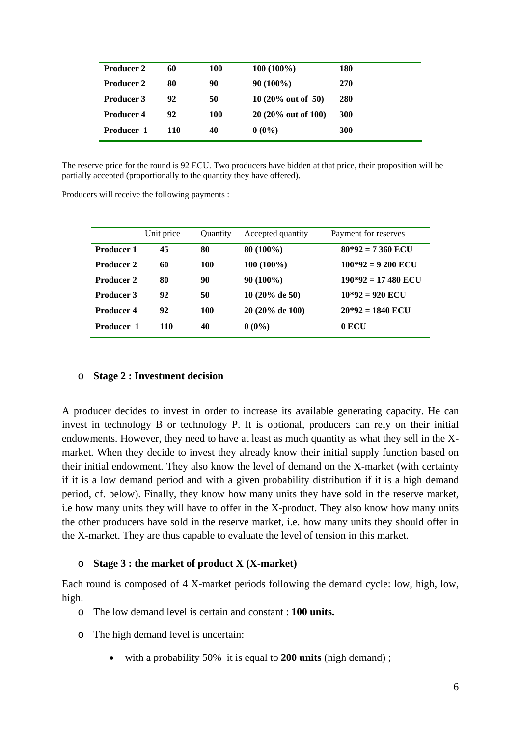| <b>Producer 2</b> | 60  | 100 | $100(100\%)$                   | 180        |
|-------------------|-----|-----|--------------------------------|------------|
| <b>Producer 2</b> | 80  | 90  | $90(100\%)$                    | 270        |
| <b>Producer 3</b> | 92  | 50  | 10 $(20\% \text{ out of } 50)$ | 280        |
| <b>Producer 4</b> | 92  | 100 | 20 (20% out of 100)            | <b>300</b> |
| <b>Producer 1</b> | 110 | 40  | $0(0\%)$                       | 300        |

The reserve price for the round is 92 ECU. Two producers have bidden at that price, their proposition will be partially accepted (proportionally to the quantity they have offered).

Producers will receive the following payments :

|                   | Unit price | <b>Ouantity</b> | Accepted quantity         | Payment for reserves |
|-------------------|------------|-----------------|---------------------------|----------------------|
| <b>Producer 1</b> | 45         | 80              | 80 (100%)                 | $80*92 = 7360$ ECU   |
| Producer 2        | 60         | 100             | $100(100\%)$              | $100*92 = 9200$ ECU  |
| <b>Producer 2</b> | 80         | 90              | $90(100\%)$               | $190*92 = 17480$ ECU |
| <b>Producer 3</b> | 92         | 50              | $10(20\% \text{ de } 50)$ | $10*92 = 920$ ECU    |
| Producer 4        | 92         | 100             | 20 (20% de 100)           | $20*92 = 1840$ ECU   |
| <b>Producer 1</b> | 110        | 40              | $0(0\%)$                  | $0$ ECU              |

#### o **Stage 2 : Investment decision**

A producer decides to invest in order to increase its available generating capacity. He can invest in technology B or technology P. It is optional, producers can rely on their initial endowments. However, they need to have at least as much quantity as what they sell in the Xmarket. When they decide to invest they already know their initial supply function based on their initial endowment. They also know the level of demand on the X-market (with certainty if it is a low demand period and with a given probability distribution if it is a high demand period, cf. below). Finally, they know how many units they have sold in the reserve market, i.e how many units they will have to offer in the X-product. They also know how many units the other producers have sold in the reserve market, i.e. how many units they should offer in the X-market. They are thus capable to evaluate the level of tension in this market.

#### o **Stage 3 : the market of product X (X-market)**

Each round is composed of 4 X-market periods following the demand cycle: low, high, low, high.

- o The low demand level is certain and constant : **100 units.**
- o The high demand level is uncertain:
	- with a probability 50% it is equal to **200 units** (high demand) ;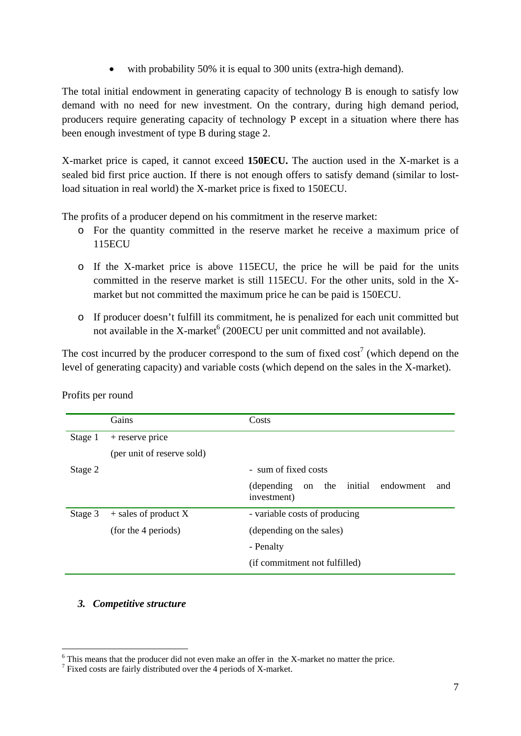with probability 50% it is equal to 300 units (extra-high demand).

The total initial endowment in generating capacity of technology B is enough to satisfy low demand with no need for new investment. On the contrary, during high demand period, producers require generating capacity of technology P except in a situation where there has been enough investment of type B during stage 2.

X-market price is caped, it cannot exceed **150ECU.** The auction used in the X-market is a sealed bid first price auction. If there is not enough offers to satisfy demand (similar to lostload situation in real world) the X-market price is fixed to 150ECU.

The profits of a producer depend on his commitment in the reserve market:

- o For the quantity committed in the reserve market he receive a maximum price of 115ECU
- o If the X-market price is above 115ECU, the price he will be paid for the units committed in the reserve market is still 115ECU. For the other units, sold in the Xmarket but not committed the maximum price he can be paid is 150ECU.
- o If producer doesn't fulfill its commitment, he is penalized for each unit committed but not available in the X-market<sup>6</sup> (200ECU per unit committed and not available).

The cost incurred by the producer correspond to the sum of fixed  $cost^7$  (which depend on the level of generating capacity) and variable costs (which depend on the sales in the X-market).

|         | Gains                      | Costs                                                                  |
|---------|----------------------------|------------------------------------------------------------------------|
| Stage 1 | $+$ reserve price          |                                                                        |
|         | (per unit of reserve sold) |                                                                        |
| Stage 2 |                            | - sum of fixed costs                                                   |
|         |                            | initial<br>endowment<br>(depending)<br>the<br>on<br>and<br>investment) |
| Stage 3 | $+$ sales of product X     | - variable costs of producing                                          |
|         | (for the 4 periods)        | (depending on the sales)                                               |
|         |                            | - Penalty                                                              |
|         |                            | (if commitment not fulfilled)                                          |

Profits per round

### *3. Competitive structure*

1

<sup>&</sup>lt;sup>6</sup> This means that the producer did not even make an offer in the X-market no matter the price.

 $\frac{1}{7}$  Fixed costs are fairly distributed over the 4 periods of X-market.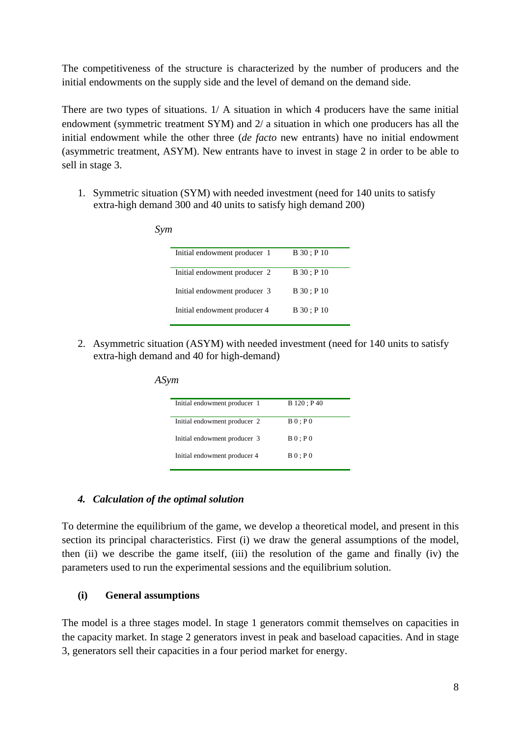The competitiveness of the structure is characterized by the number of producers and the initial endowments on the supply side and the level of demand on the demand side.

There are two types of situations. 1/ A situation in which 4 producers have the same initial endowment (symmetric treatment SYM) and 2/ a situation in which one producers has all the initial endowment while the other three (*de facto* new entrants) have no initial endowment (asymmetric treatment, ASYM). New entrants have to invest in stage 2 in order to be able to sell in stage 3.

1. Symmetric situation (SYM) with needed investment (need for 140 units to satisfy extra-high demand 300 and 40 units to satisfy high demand 200)

| Sym |                              |               |
|-----|------------------------------|---------------|
|     | Initial endowment producer 1 | $B_30$ ; P 10 |
|     | Initial endowment producer 2 | B30: P10      |
|     | Initial endowment producer 3 | B 30 : P 10   |
|     | Initial endowment producer 4 | $B_30$ ; P 10 |
|     |                              |               |

2. Asymmetric situation (ASYM) with needed investment (need for 140 units to satisfy extra-high demand and 40 for high-demand)

| Initial endowment producer 1 | B 120; P 40 |
|------------------------------|-------------|
|                              |             |
| Initial endowment producer 2 | B0:PO       |
|                              |             |
| Initial endowment producer 3 | B0:PO       |
|                              |             |
| Initial endowment producer 4 | B0:PO       |
|                              |             |

#### *ASym*

#### *4. Calculation of the optimal solution*

To determine the equilibrium of the game, we develop a theoretical model, and present in this section its principal characteristics. First (i) we draw the general assumptions of the model, then (ii) we describe the game itself, (iii) the resolution of the game and finally (iv) the parameters used to run the experimental sessions and the equilibrium solution.

### **(i) General assumptions**

The model is a three stages model. In stage 1 generators commit themselves on capacities in the capacity market. In stage 2 generators invest in peak and baseload capacities. And in stage 3, generators sell their capacities in a four period market for energy.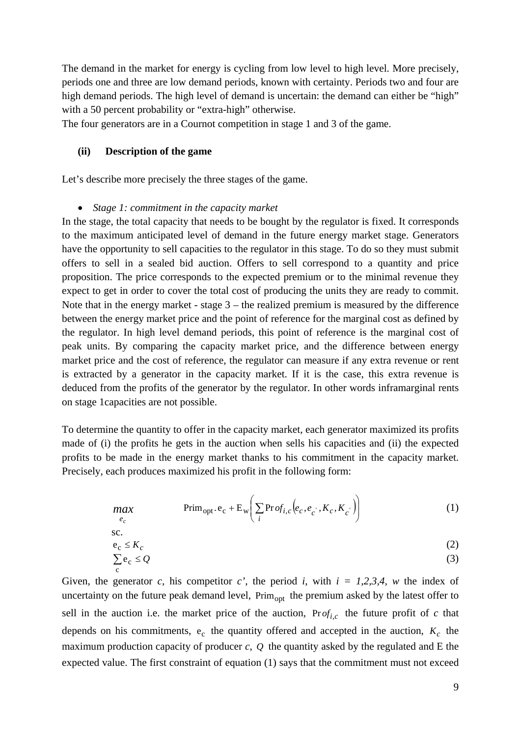The demand in the market for energy is cycling from low level to high level. More precisely, periods one and three are low demand periods, known with certainty. Periods two and four are high demand periods. The high level of demand is uncertain: the demand can either be "high" with a 50 percent probability or "extra-high" otherwise.

The four generators are in a Cournot competition in stage 1 and 3 of the game.

#### **(ii) Description of the game**

c

Let's describe more precisely the three stages of the game.

#### • *Stage 1: commitment in the capacity market*

In the stage, the total capacity that needs to be bought by the regulator is fixed. It corresponds to the maximum anticipated level of demand in the future energy market stage. Generators have the opportunity to sell capacities to the regulator in this stage. To do so they must submit offers to sell in a sealed bid auction. Offers to sell correspond to a quantity and price proposition. The price corresponds to the expected premium or to the minimal revenue they expect to get in order to cover the total cost of producing the units they are ready to commit. Note that in the energy market - stage  $3$  – the realized premium is measured by the difference between the energy market price and the point of reference for the marginal cost as defined by the regulator. In high level demand periods, this point of reference is the marginal cost of peak units. By comparing the capacity market price, and the difference between energy market price and the cost of reference, the regulator can measure if any extra revenue or rent is extracted by a generator in the capacity market. If it is the case, this extra revenue is deduced from the profits of the generator by the regulator. In other words inframarginal rents on stage 1capacities are not possible.

To determine the quantity to offer in the capacity market, each generator maximized its profits made of (i) the profits he gets in the auction when sells his capacities and (ii) the expected profits to be made in the energy market thanks to his commitment in the capacity market. Precisely, each produces maximized his profit in the following form:

$$
\max_{e_c} \qquad \qquad \text{Prim}_{\text{opt}}. e_c + \mathcal{E}_{\text{w}} \bigg( \sum_i \text{Pr}_{\text{of}_{i,c}} \big( e_c, e_c, K_c, K_c \big) \bigg) \tag{1}
$$

sc.  
\n
$$
e_c \le K_c
$$
  
\n $\sum e_c \le Q$  (2)

Given, the generator *c*, his competitor *c'*, the period *i*, with  $i = 1,2,3,4$ , *w* the index of uncertainty on the future peak demand level, Prim<sub>opt</sub> the premium asked by the latest offer to sell in the auction i.e. the market price of the auction,  $Prof_{i,c}$  the future profit of *c* that depends on his commitments,  $e_c$  the quantity offered and accepted in the auction,  $K_c$  the maximum production capacity of producer *c*, *Q* the quantity asked by the regulated and E the expected value. The first constraint of equation (1) says that the commitment must not exceed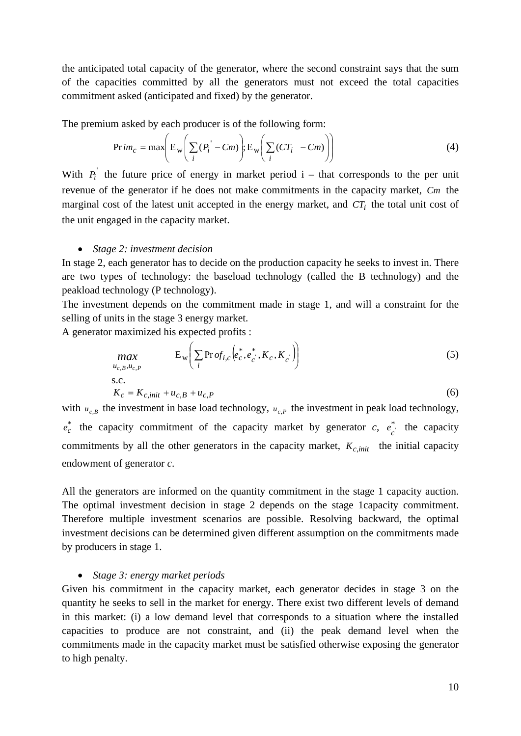the anticipated total capacity of the generator, where the second constraint says that the sum of the capacities committed by all the generators must not exceed the total capacities commitment asked (anticipated and fixed) by the generator.

The premium asked by each producer is of the following form:

$$
Pr\,im_c = \max\biggl(E_w \biggl(\sum_i (P_i^{\prime} - Cm)\biggr); E_w \biggl(\sum_i (CT_i - Cm)\biggr)\biggr)
$$
 (4)

With  $P_i$ <sup>'</sup> the future price of energy in market period i – that corresponds to the per unit revenue of the generator if he does not make commitments in the capacity market, *Cm* the marginal cost of the latest unit accepted in the energy market, and  $CT_i$  the total unit cost of the unit engaged in the capacity market.

#### • *Stage 2: investment decision*

In stage 2, each generator has to decide on the production capacity he seeks to invest in. There are two types of technology: the baseload technology (called the B technology) and the peakload technology (P technology).

The investment depends on the commitment made in stage 1, and will a constraint for the selling of units in the stage 3 energy market.

A generator maximized his expected profits :

$$
\begin{aligned}\n\max_{u_{c,B}, u_{c,P}} & \mathbf{E}_{\mathbf{w}} \bigg( \sum_{i} \text{Pr} \, o f_{i,c} \bigg( e_c^*, e_c^*, K_c, K_c \bigg) \bigg) \\
\text{s.c.} \\
K_c &= K_{c,init} + u_{c,B} + u_{c,P}\n\end{aligned} \tag{5}
$$

with  $u_{c,B}$  the investment in base load technology,  $u_{c,P}$  the investment in peak load technology,  $e_c^*$  the capacity commitment of the capacity market by generator *c*,  $e_c^*$  the capacity commitments by all the other generators in the capacity market,  $K_{c,init}$  the initial capacity endowment of generator *c*.

All the generators are informed on the quantity commitment in the stage 1 capacity auction. The optimal investment decision in stage 2 depends on the stage 1capacity commitment. Therefore multiple investment scenarios are possible. Resolving backward, the optimal investment decisions can be determined given different assumption on the commitments made by producers in stage 1.

#### • *Stage 3: energy market periods*

Given his commitment in the capacity market, each generator decides in stage 3 on the quantity he seeks to sell in the market for energy. There exist two different levels of demand in this market: (i) a low demand level that corresponds to a situation where the installed capacities to produce are not constraint, and (ii) the peak demand level when the commitments made in the capacity market must be satisfied otherwise exposing the generator to high penalty.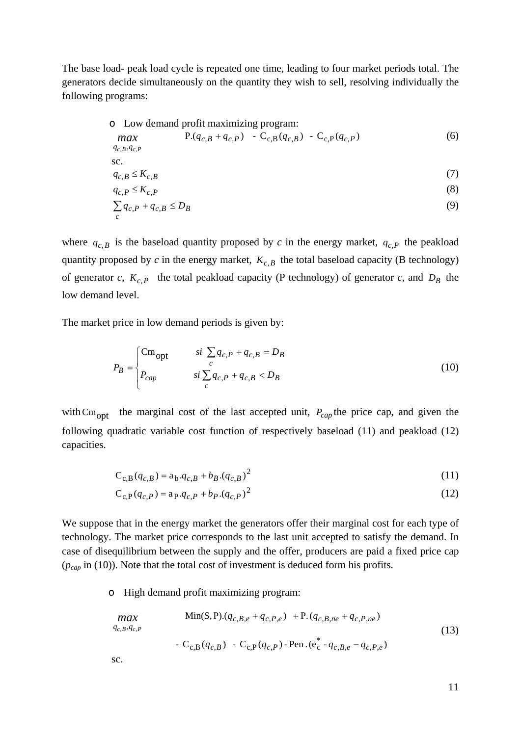The base load- peak load cycle is repeated one time, leading to four market periods total. The generators decide simultaneously on the quantity they wish to sell, resolving individually the following programs:

o Low demand profit maximizing program:  
\n
$$
\begin{array}{ll}\n\text{max} & P.(q_{c,B} + q_{c,P}) - C_{c,B}(q_{c,B}) - C_{c,P}(q_{c,P}) \\
\text{s.t.} & & \\
q_{c,B}, q_{c,P} \\
\text{s.t.} & & \\
q_{c,B} \le K_{c,B} \\
q_{c,P} \le K_{c,P} \\
\sum q_{c,P} + q_{c,B} \le D_B\n\end{array} \tag{7}
$$
\n
$$
(3)
$$

where  $q_{c,B}$  is the baseload quantity proposed by *c* in the energy market,  $q_{c,P}$  the peakload quantity proposed by  $c$  in the energy market,  $K_{c,B}$  the total baseload capacity (B technology) of generator *c*,  $K_{c,P}$  the total peakload capacity (P technology) of generator *c*, and  $D_B$  the low demand level.

The market price in low demand periods is given by:

$$
P_B = \begin{cases} \text{Cm}_{\text{opt}} & \text{si } \sum_c q_{c,P} + q_{c,B} = D_B \\ P_{cap} & \text{si } \sum_c q_{c,P} + q_{c,B} < D_B \end{cases} \tag{10}
$$

with  $\text{Cm}_{\text{opt}}$  the marginal cost of the last accepted unit,  $P_{cap}$  the price cap, and given the following quadratic variable cost function of respectively baseload (11) and peakload (12) capacities.

$$
C_{c,B}(q_{c,B}) = a_b \cdot q_{c,B} + b_B \cdot (q_{c,B})^2
$$
\n(11)

$$
C_{c,P}(q_{c,P}) = a_P \cdot q_{c,P} + b_P \cdot (q_{c,P})^2
$$
\n(12)

We suppose that in the energy market the generators offer their marginal cost for each type of technology. The market price corresponds to the last unit accepted to satisfy the demand. In case of disequilibrium between the supply and the offer, producers are paid a fixed price cap (*pcap* in (10)). Note that the total cost of investment is deduced form his profits.

o High demand profit maximizing program:

$$
\begin{aligned}\n\text{max} & \text{Min}(S, P) \cdot (q_{c, B, e} + q_{c, P, e}) + P \cdot (q_{c, B, n e} + q_{c, P, n e}) \\
& \text{Var}(q_{c, B}, q_{c, P}) \\
& \text{Var}(q_{c, B}) - C_{c, P}(q_{c, P}) - \text{Per}(q_{c, B, e} - q_{c, P, e}) \\
& \text{SCA} \\
\text{SCA} & \text{SCA} \\
\text{SCA} & \text{Var}(q_{c, B}) - C_{c, P}(q_{c, P}) - \text{Per}(q_{c, B, e} - q_{c, P, e})\n\end{aligned}\n\tag{13}
$$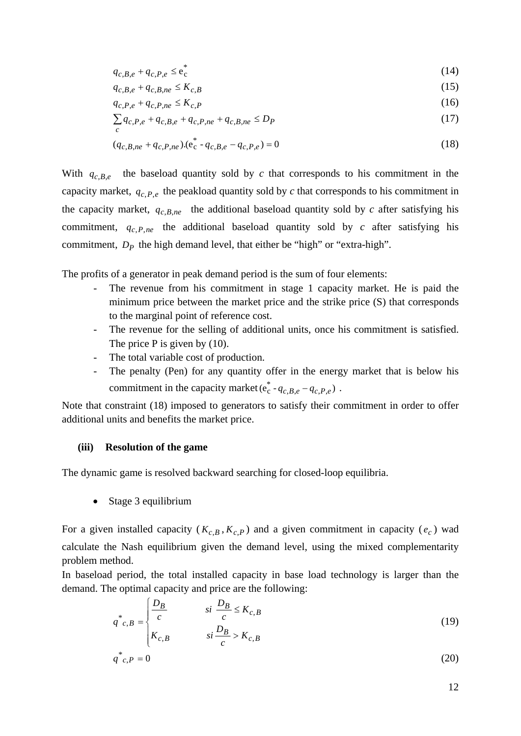$$
q_{c,B,e} + q_{c,P,e} \leq e_c^* \tag{14}
$$

$$
q_{c,B,e} + q_{c,B,ne} \le K_{c,B} \tag{15}
$$

$$
q_{c,P,e} + q_{c,P,ne} \le K_{c,P} \tag{16}
$$

$$
\sum_{c} q_{c,P,e} + q_{c,B,e} + q_{c,P,ne} + q_{c,B,ne} \le D_P
$$
\n(17)

$$
(q_{c,B,ne} + q_{c,P,ne}) \cdot (e_c^* - q_{c,B,e} - q_{c,P,e}) = 0
$$
\n(18)

With  $q_{c,B,e}$  the baseload quantity sold by *c* that corresponds to his commitment in the capacity market,  $q_{c, P, e}$  the peakload quantity sold by  $c$  that corresponds to his commitment in the capacity market,  $q_{c,B,ne}$  the additional baseload quantity sold by *c* after satisfying his commitment,  $q_{c,P,ne}$  the additional baseload quantity sold by *c* after satisfying his commitment,  $D<sub>P</sub>$  the high demand level, that either be "high" or "extra-high".

The profits of a generator in peak demand period is the sum of four elements:

- The revenue from his commitment in stage 1 capacity market. He is paid the minimum price between the market price and the strike price (S) that corresponds to the marginal point of reference cost.
- The revenue for the selling of additional units, once his commitment is satisfied. The price P is given by  $(10)$ .
- The total variable cost of production.
- The penalty (Pen) for any quantity offer in the energy market that is below his commitment in the capacity market ( $e_c^*$  -  $q_{c,B,e}$  –  $q_{c,P,e}$ ).

Note that constraint (18) imposed to generators to satisfy their commitment in order to offer additional units and benefits the market price.

#### **(iii) Resolution of the game**

The dynamic game is resolved backward searching for closed-loop equilibria.

• Stage 3 equilibrium

For a given installed capacity ( $K_{c,B}$ ,  $K_{c,P}$ ) and a given commitment in capacity ( $e_c$ ) wad calculate the Nash equilibrium given the demand level, using the mixed complementarity problem method.

In baseload period, the total installed capacity in base load technology is larger than the demand. The optimal capacity and price are the following:

$$
q^*_{c,B} = \begin{cases} \frac{D_B}{c} & \text{si } \frac{D_B}{c} \le K_{c,B} \\ K_{c,B} & \text{si } \frac{D_B}{c} > K_{c,B} \end{cases}
$$
(19)

$$
\begin{cases}\nK_{c,B} & si \frac{D_B}{c} > K_{c,B} \\
q^*_{c,P} = 0\n\end{cases}
$$
\n(20)

12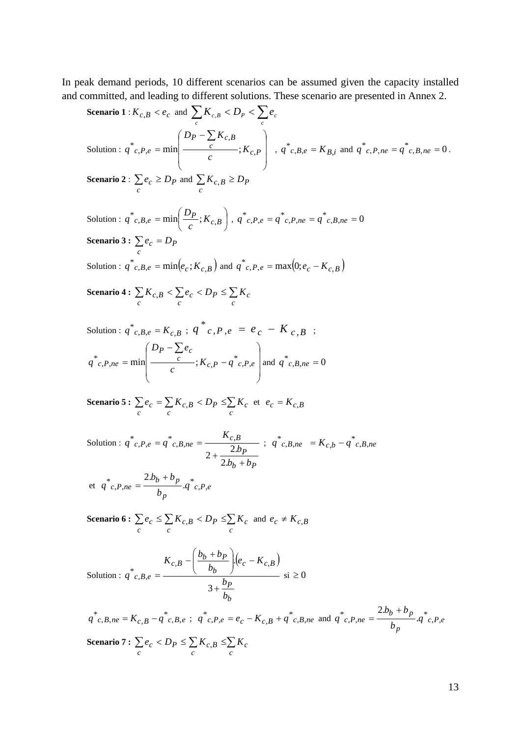In peak demand periods, 10 different scenarios can be assumed given the capacity installed and committed, and leading to different solutions. These scenario are presented in Annex 2.

**Scenario 1**: 
$$
K_{c,B} < e_c
$$
 and  $\sum_c K_{c,B} < D_P < \sum_c e_c$   
\nSolution:  $q^*_{c,P,e} = \min\left(\frac{D_P - \sum_c K_{c,B}}{c}; K_{c,P}\right)$ ,  $q^*_{c,B,e} = K_{B,i}$  and  $q^*_{c,P,ne} = q^*_{c,B,ne} = 0$ .  
\n**Scenario 2**:  $\sum_c e_c \ge D_P$  and  $\sum_c K_{c,B} \ge D_P$ 

Solution :  $q^r c, B, e = \min \left| \frac{P}{r} K_{c,B} \right|$ ⎠  $\left(\frac{D_P}{\cdot}, K_{c.B.}\right)$  $\sum_{c,B,e} = \min\left(\frac{D_P}{c}; K_{c,B}\right)$  $q^*_{c,B,e} = \min\left(\frac{D_P}{a}; K_{c,B}\right)$ ,  $q^*_{c,P,e} = q^*_{c,P,ne} = q^*_{c,B,ne} = 0$ **Scenario 3 :**  $\sum e_c = D_p$ *c* Solution :  $q^*_{c,B,e} = \min(e_c; K_{c,B})$  and  $q^*_{c,P,e} = \max(0; e_c - K_{c,B})$ 

Scenario 4 :  $\sum K_{c,B}<\sum e_{c}< D_{P}\leq \sum$  $c$  *c c*  $K_{c,B} < \sum e_c < D_P \leq \sum K_c$ 

Solution: 
$$
q^*_{c,B,e} = K_{c,B}
$$
;  $q^*_{c,P,e} = e_c - K_{c,B}$ ;  
\n $q^*_{c,P,ne} = \min \left( \frac{D_P - \sum e_c}{c}; K_{c,P} - q^*_{c,P,e} \right)$  and  $q^*_{c,B,ne} = 0$ 

**Scenario 5:** 
$$
\sum_{c} e_c = \sum_{c} K_{c,B} < D_P \leq \sum_{c} K_c \text{ et } e_c = K_{c,B}
$$

Solution :  $b$  +  $p$   $p$ *P*  $c, P, e = q^* c, B, ne = \frac{R_{c,B}}{2L}$  $b_h + b$ *b K*  $q^{\dagger}$ <sub>*c*</sub>,  $p$ <sub>,  $e = q$ </sub> + +  $= q^{\dagger} c B_{n} n e =$ 2.  $2 + \frac{2}{\cdots}$  $\int_{c}^{*} c P_{i}e = q^{*} c B_{i} n e = \frac{\Lambda_{c} B}{2 h}$ ;  $q^{*} c B_{i} n e = K_{c} b - q^{*} c B_{i} n e$ 

et 
$$
q^*_{c,P,ne} = \frac{2.b_b + b_p}{b_p} .q^*_{c,P,e}
$$

Scenario 6 :  $\sum e_c \leq \sum K_{c,B} < D_P \leq \sum$ *c c c c*  $e_c \leq \sum K_{c,B} < D_P \leq \sum K_c$  and  $e_c \neq K_{c,B}$ 

Solution: 
$$
q^*_{c,B,e} = \frac{K_{c,B} - \left(\frac{b_b + b_p}{b_b}\right) (e_c - K_{c,B})}{3 + \frac{b_p}{b_b}}
$$
 si  $\ge 0$ 

 $q^*_{c,B,ne} = K_{c,B} - q^*_{c,B,e}$ ;  $q^*_{c,P,e} = e_c - K_{c,B} + q^*_{c,B,ne}$  and  $q^*_{c,P,ne} = \frac{2.0b + 0p}{L}q^*_{c,P,e}$  $q^* c, p, ne = \frac{2.b_b + b_p}{b_p}.q^* c, p,$ Scenario 7 :  $\sum e_c < D_P \leq \sum K_{c,B} \leq \sum$ *c c c c*  $e_c < D_P \leq \sum K_{c,B} \leq \sum K$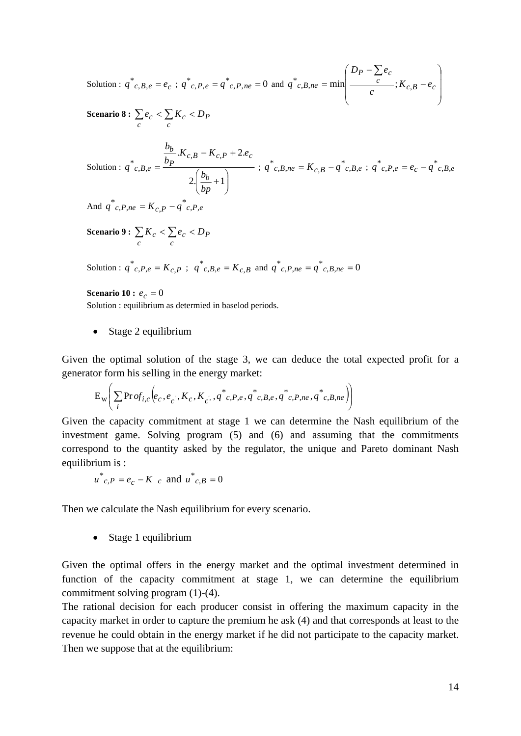Solution :  $q^*_{c,B,e} = e_c$ ;  $q^*_{c,P,e} = q^*_{c,P,ne} = 0$  and ⎟ ⎟ ⎟ ⎠  $\left( \frac{1}{2} \right)$  $\overline{a}$  $\frac{1}{2}$  $\begin{array}{c} \hline \end{array}$ ⎝  $\sqrt{2}$ − − = ∑  $\frac{c}{c}$   $\rightarrow$   $K_{c,B}$   $-e_c$  $P = \sum e_c$  $c, B, ne = \min \left[ \frac{c}{c} : K_{c,B} - e \right]$  $D_P - \sum e$  $q^*_{c,B,ne} = \min \Big| \frac{c}{\sqrt{C}}; K_c,$ 

Scenario 8 :  $\sum e_c < \sum K_c <$ *c P c*  $e_c < \sum K_c < D$ 

Solution : 
$$
q^*_{c,B,e} = \frac{\frac{b_b}{b_p} . K_{c,B} - K_{c,P} + 2.e_c}{2(\frac{b_b}{b_p} + 1)}
$$
 ;  $q^*_{c,B,ne} = K_{c,B} - q^*_{c,B,e}$  ;  $q^*_{c,P,e} = e_c - q^*_{c,B,e}$ 

And  $q^{\dagger} c P_{n} p = K_{c} p - q^{\dagger} c P_{n} e$ 

Scenario 9 :  $\sum K_c < \sum e_c <$ *c P c*  $K_c < \sum e_c < D$ 

Solution :  $q^*_{c,P,e} = K_{c,P}$ ;  $q^*_{c,B,e} = K_{c,B}$  and  $q^*_{c,P,ne} = q^*_{c,B,ne} = 0$ 

**Scenario 10 :**  $e_c = 0$ Solution : equilibrium as determied in baselod periods.

• Stage 2 equilibrium

Given the optimal solution of the stage 3, we can deduce the total expected profit for a generator form his selling in the energy market:

$$
\mathrm{E}_{\mathrm{w}}\Bigg(\sum_{i}\mathrm{Pr}\,of_{i,c}\Big(e_{c},e_{c}^{\phantom{c}},K_{c},K_{c}^{\phantom{c}},q^{*}_{c},P,e,q^{*}_{c},B,e,q^{*}_{c},P,ne\,q^{*}_{c},B,ne\Big)\Bigg)
$$

Given the capacity commitment at stage 1 we can determine the Nash equilibrium of the investment game. Solving program (5) and (6) and assuming that the commitments correspond to the quantity asked by the regulator, the unique and Pareto dominant Nash equilibrium is :

$$
u^*_{c,P} = e_c - K_c
$$
 and  $u^*_{c,B} = 0$ 

Then we calculate the Nash equilibrium for every scenario.

• Stage 1 equilibrium

Given the optimal offers in the energy market and the optimal investment determined in function of the capacity commitment at stage 1, we can determine the equilibrium commitment solving program (1)-(4).

The rational decision for each producer consist in offering the maximum capacity in the capacity market in order to capture the premium he ask (4) and that corresponds at least to the revenue he could obtain in the energy market if he did not participate to the capacity market. Then we suppose that at the equilibrium: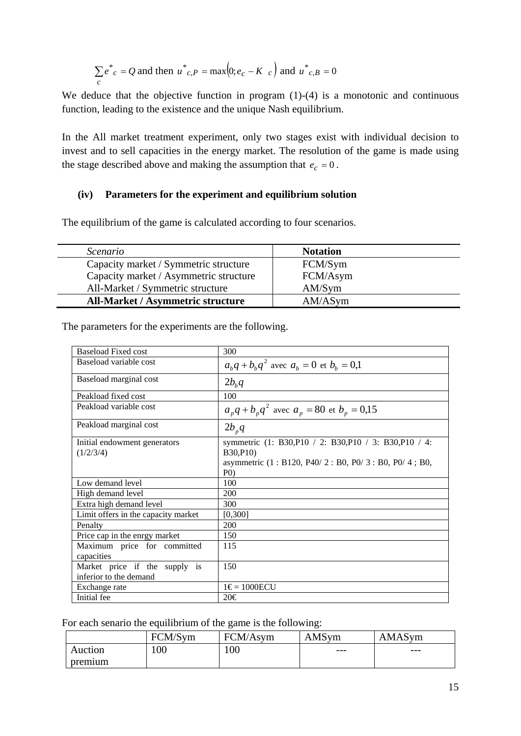$$
\sum_{c} e^*_{c} = Q
$$
 and then  $u^*_{c,P} = \max(0; e_c - K_c)$  and  $u^*_{c,B} = 0$ 

We deduce that the objective function in program  $(1)-(4)$  is a monotonic and continuous function, leading to the existence and the unique Nash equilibrium.

In the All market treatment experiment, only two stages exist with individual decision to invest and to sell capacities in the energy market. The resolution of the game is made using the stage described above and making the assumption that  $e_c = 0$ .

### **(iv) Parameters for the experiment and equilibrium solution**

The equilibrium of the game is calculated according to four scenarios.

| Scenario                                 | <b>Notation</b> |
|------------------------------------------|-----------------|
| Capacity market / Symmetric structure    | FCM/Sym         |
| Capacity market / Asymmetric structure   | FCM/Asym        |
| All-Market / Symmetric structure         | AM/Sym          |
| <b>All-Market / Asymmetric structure</b> | AM/ASym         |

The parameters for the experiments are the following.

| Baseload Fixed cost                       | 300                                                                                                                                            |
|-------------------------------------------|------------------------------------------------------------------------------------------------------------------------------------------------|
| Baseload variable cost                    | $a_{h}q + b_{h}q^{2}$ avec $a_{h} = 0$ et $b_{h} = 0,1$                                                                                        |
| Baseload marginal cost                    | $2b_kq$                                                                                                                                        |
| Peakload fixed cost                       | 100                                                                                                                                            |
| Peakload variable cost                    | $a_{n}q + b_{n}q^{2}$ avec $a_{n} = 80$ et $b_{n} = 0.15$                                                                                      |
| Peakload marginal cost                    | $2b_{p}q$                                                                                                                                      |
| Initial endowment generators<br>(1/2/3/4) | symmetric (1: B30, P10 / 2: B30, P10 / 3: B30, P10 / 4:<br><b>B</b> 30,P10)<br>asymmetric (1 : B120, P40/2 : B0, P0/3 : B0, P0/4 ; B0,<br>P(0) |
| Low demand level                          | 100                                                                                                                                            |
| High demand level                         | 200                                                                                                                                            |
| Extra high demand level                   | 300                                                                                                                                            |
| Limit offers in the capacity market       | [0,300]                                                                                                                                        |
| Penalty                                   | 200                                                                                                                                            |
| Price cap in the enrgy market             | 150                                                                                                                                            |
| Maximum price for committed               | 115                                                                                                                                            |
| capacities                                |                                                                                                                                                |
| Market price if the supply is             | 150                                                                                                                                            |
| inferior to the demand                    |                                                                                                                                                |
| Exchange rate                             | $1 \in 1000$ ECU                                                                                                                               |
| Initial fee                               | 20€                                                                                                                                            |

For each senario the equilibrium of the game is the following:

|         | FCM/Sym | FCM/Asym | AMSym | AMASym |
|---------|---------|----------|-------|--------|
| Auction | 100     | 100      | $---$ | ---    |
| premium |         |          |       |        |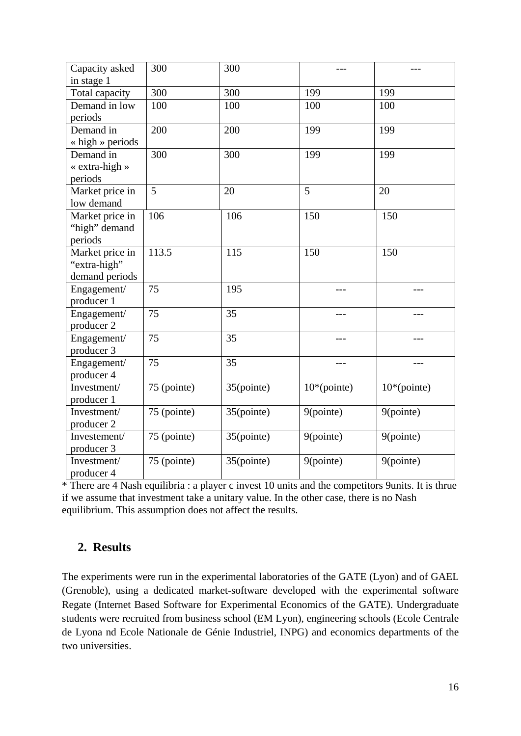| Capacity asked           | 300         | 300        | ---          | $---$               |
|--------------------------|-------------|------------|--------------|---------------------|
| in stage 1               |             |            |              |                     |
| Total capacity           | 300         | 300        | 199          | 199                 |
| Demand in low            | 100         | 100        | 100          | 100                 |
| periods                  |             |            |              |                     |
| Demand in                | 200         | 200        | 199          | 199                 |
| $\langle$ high » periods |             |            |              |                     |
| Demand in                | 300         | 300        | 199          | 199                 |
| « extra-high »           |             |            |              |                     |
| periods                  |             |            |              |                     |
| Market price in          | 5           | 20         | 5            | 20                  |
| low demand               |             |            |              |                     |
| Market price in          | 106         | 106        | 150          | 150                 |
| "high" demand            |             |            |              |                     |
| periods                  |             |            |              |                     |
| Market price in          | 113.5       | 115        | 150          | 150                 |
| "extra-high"             |             |            |              |                     |
| demand periods           |             |            |              |                     |
| Engagement/              | 75          | 195        |              | ---                 |
| producer 1               |             |            |              |                     |
| Engagement/              | 75          | 35         |              |                     |
| producer 2               |             |            |              |                     |
| Engagement/              | 75          | 35         |              |                     |
| producer 3               |             |            |              |                     |
| Engagement/              | 75          | 35         | $---$        | ---                 |
| producer 4               |             |            |              |                     |
| Investment/              | 75 (pointe) | 35(pointe) | $10*(point)$ | $10*(\text{point})$ |
| producer 1               |             |            |              |                     |
| Investment/              | 75 (pointe) | 35(pointe) | 9(pointe)    | 9(pointe)           |
| producer 2               |             |            |              |                     |
| Investement/             | 75 (pointe) | 35(pointe) | 9(pointe)    | 9(pointe)           |
| producer 3               |             |            |              |                     |
| Investment/              | 75 (pointe) | 35(pointe) | 9(pointe)    | 9(pointe)           |
| producer 4               |             |            |              |                     |

\* There are 4 Nash equilibria : a player c invest 10 units and the competitors 9units. It is thrue if we assume that investment take a unitary value. In the other case, there is no Nash equilibrium. This assumption does not affect the results.

## **2. Results**

The experiments were run in the experimental laboratories of the GATE (Lyon) and of GAEL (Grenoble), using a dedicated market-software developed with the experimental software Regate (Internet Based Software for Experimental Economics of the GATE). Undergraduate students were recruited from business school (EM Lyon), engineering schools (Ecole Centrale de Lyona nd Ecole Nationale de Génie Industriel, INPG) and economics departments of the two universities.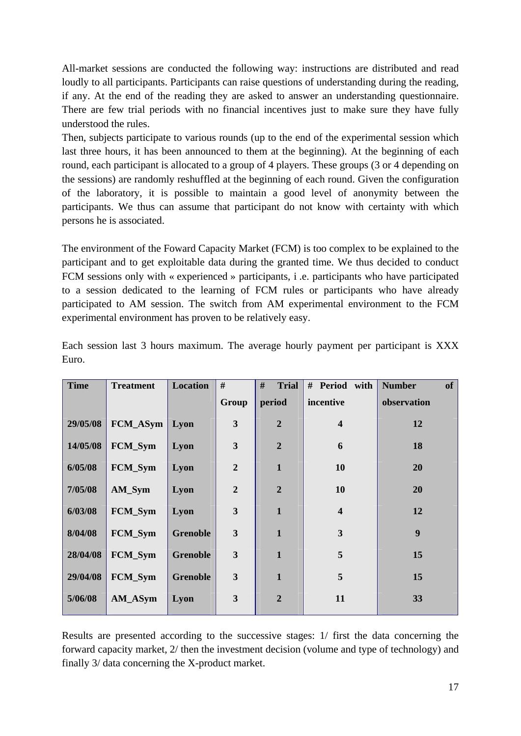All-market sessions are conducted the following way: instructions are distributed and read loudly to all participants. Participants can raise questions of understanding during the reading, if any. At the end of the reading they are asked to answer an understanding questionnaire. There are few trial periods with no financial incentives just to make sure they have fully understood the rules.

Then, subjects participate to various rounds (up to the end of the experimental session which last three hours, it has been announced to them at the beginning). At the beginning of each round, each participant is allocated to a group of 4 players. These groups (3 or 4 depending on the sessions) are randomly reshuffled at the beginning of each round. Given the configuration of the laboratory, it is possible to maintain a good level of anonymity between the participants. We thus can assume that participant do not know with certainty with which persons he is associated.

The environment of the Foward Capacity Market (FCM) is too complex to be explained to the participant and to get exploitable data during the granted time. We thus decided to conduct FCM sessions only with « experienced » participants, i .e. participants who have participated to a session dedicated to the learning of FCM rules or participants who have already participated to AM session. The switch from AM experimental environment to the FCM experimental environment has proven to be relatively easy.

| <b>Time</b> | <b>Treatment</b> | <b>Location</b> | #              | #<br><b>Trial</b> | # Period with           | <b>Number</b><br>of |
|-------------|------------------|-----------------|----------------|-------------------|-------------------------|---------------------|
|             |                  |                 | Group          | period            | incentive               | observation         |
| 29/05/08    | $FCM_ASym$       | Lyon            | 3              | $\overline{2}$    | $\overline{\mathbf{4}}$ | 12                  |
| 14/05/08    | FCM_Sym          | Lyon            | 3              | $\overline{2}$    | 6                       | 18                  |
| 6/05/08     | FCM_Sym          | Lyon            | $\overline{2}$ | $\mathbf{1}$      | 10                      | 20                  |
| 7/05/08     | AM_Sym           | Lyon            | $\overline{2}$ | $\overline{2}$    | 10                      | 20                  |
| 6/03/08     | <b>FCM_Sym</b>   | Lyon            | 3              | $\mathbf{1}$      | $\overline{\mathbf{4}}$ | 12                  |
| 8/04/08     | FCM_Sym          | <b>Grenoble</b> | 3              | $\mathbf{1}$      | 3                       | $\boldsymbol{9}$    |
| 28/04/08    | FCM_Sym          | <b>Grenoble</b> | 3              | $\mathbf{1}$      | 5                       | 15                  |
| 29/04/08    | FCM_Sym          | <b>Grenoble</b> | 3              | $\mathbf{1}$      | 5                       | 15                  |
| 5/06/08     | AM_ASym          | Lyon            | 3              | $\overline{2}$    | 11                      | 33                  |

Each session last 3 hours maximum. The average hourly payment per participant is XXX Euro.

Results are presented according to the successive stages: 1/ first the data concerning the forward capacity market, 2/ then the investment decision (volume and type of technology) and finally 3/ data concerning the X-product market.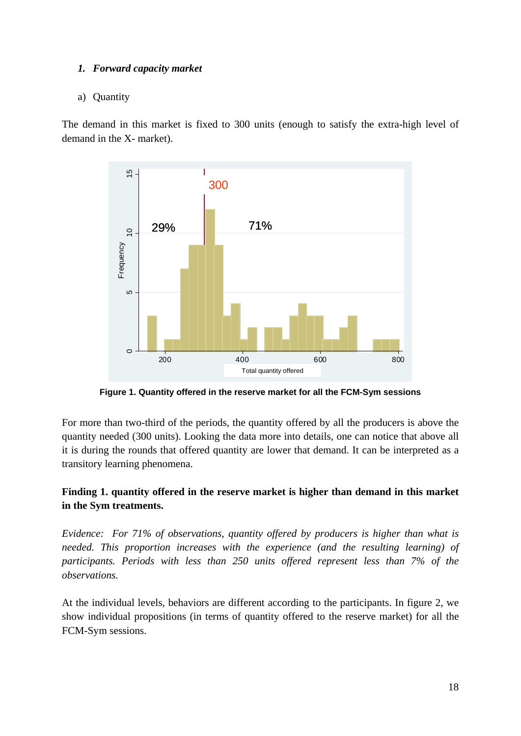## *1. Forward capacity market*

## a) Quantity

The demand in this market is fixed to 300 units (enough to satisfy the extra-high level of demand in the X- market).



**Figure 1. Quantity offered in the reserve market for all the FCM-Sym sessions** 

For more than two-third of the periods, the quantity offered by all the producers is above the quantity needed (300 units). Looking the data more into details, one can notice that above all it is during the rounds that offered quantity are lower that demand. It can be interpreted as a transitory learning phenomena.

## **Finding 1. quantity offered in the reserve market is higher than demand in this market in the Sym treatments.**

*Evidence: For 71% of observations, quantity offered by producers is higher than what is needed. This proportion increases with the experience (and the resulting learning) of participants. Periods with less than 250 units offered represent less than 7% of the observations.* 

At the individual levels, behaviors are different according to the participants. In figure 2, we show individual propositions (in terms of quantity offered to the reserve market) for all the FCM-Sym sessions.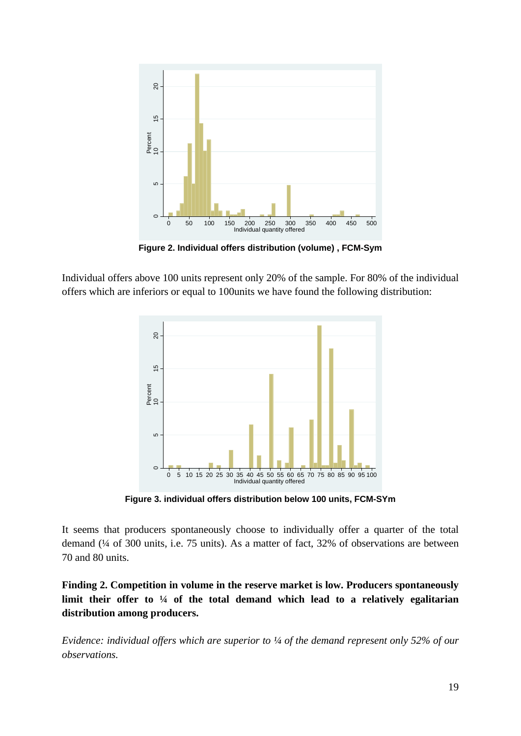

**Figure 2. Individual offers distribution (volume) , FCM-Sym** 

Individual offers above 100 units represent only 20% of the sample. For 80% of the individual offers which are inferiors or equal to 100units we have found the following distribution:



**Figure 3. individual offers distribution below 100 units, FCM-SYm** 

It seems that producers spontaneously choose to individually offer a quarter of the total demand (¼ of 300 units, i.e. 75 units). As a matter of fact, 32% of observations are between 70 and 80 units.

**Finding 2. Competition in volume in the reserve market is low. Producers spontaneously limit their offer to ¼ of the total demand which lead to a relatively egalitarian distribution among producers.** 

*Evidence: individual offers which are superior to ¼ of the demand represent only 52% of our observations.*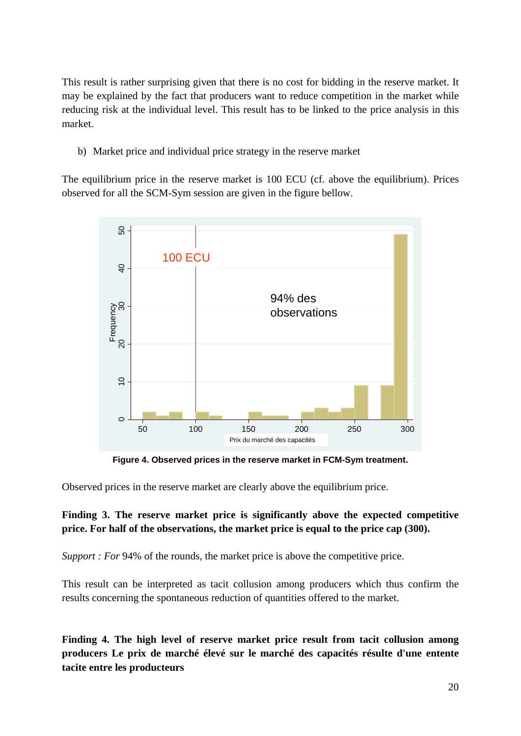This result is rather surprising given that there is no cost for bidding in the reserve market. It may be explained by the fact that producers want to reduce competition in the market while reducing risk at the individual level. This result has to be linked to the price analysis in this market.

b) Market price and individual price strategy in the reserve market

The equilibrium price in the reserve market is 100 ECU (cf. above the equilibrium). Prices observed for all the SCM-Sym session are given in the figure bellow.



**Figure 4. Observed prices in the reserve market in FCM-Sym treatment.** 

Observed prices in the reserve market are clearly above the equilibrium price.

## **Finding 3. The reserve market price is significantly above the expected competitive price. For half of the observations, the market price is equal to the price cap (300).**

*Support : For* 94% of the rounds, the market price is above the competitive price.

This result can be interpreted as tacit collusion among producers which thus confirm the results concerning the spontaneous reduction of quantities offered to the market.

**Finding 4. The high level of reserve market price result from tacit collusion among producers Le prix de marché élevé sur le marché des capacités résulte d'une entente tacite entre les producteurs**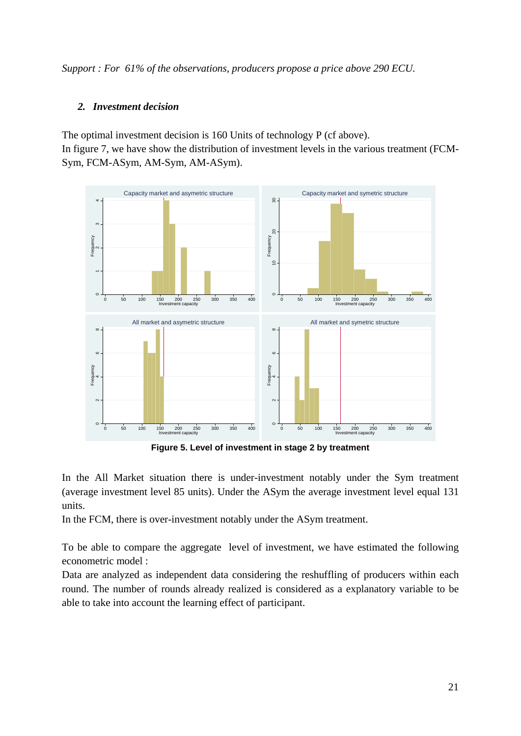*Support : For 61% of the observations, producers propose a price above 290 ECU.* 

## *2. Investment decision*

The optimal investment decision is 160 Units of technology P (cf above). In figure 7, we have show the distribution of investment levels in the various treatment (FCM-Sym, FCM-ASym, AM-Sym, AM-ASym).



**Figure 5. Level of investment in stage 2 by treatment** 

In the All Market situation there is under-investment notably under the Sym treatment (average investment level 85 units). Under the ASym the average investment level equal 131 units.

In the FCM, there is over-investment notably under the ASym treatment.

To be able to compare the aggregate level of investment, we have estimated the following econometric model :

Data are analyzed as independent data considering the reshuffling of producers within each round. The number of rounds already realized is considered as a explanatory variable to be able to take into account the learning effect of participant.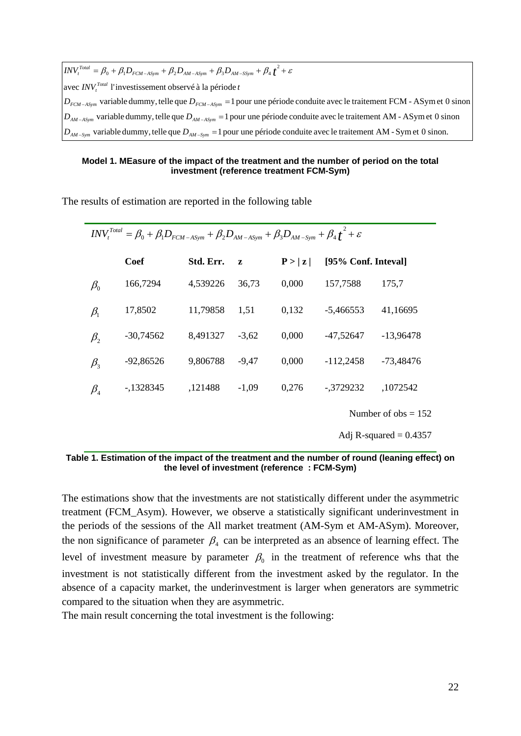$D_{AM-Sym}$  variable dummy, telle que  $D_{AM-Sym} = 1$  pour une période conduite avec le traitement AM - Sym et 0 sinon.  $D_{AM-ASym}$  variable dummy, telle que  $D_{AM-ASym} = 1$  pour une période conduite avec le traitement AM - ASymet 0 sinon  $D_{FCM-ASym}$  variable dummy, telle que  $D_{FCM-ASym}$  = 1 pour une période conduite avec le traitement FCM - ASymet 0 sinon avec *INV*<sup>*Total*</sup> l'investissement observé à la période *t* 2  $INV_t^{Total} = \beta_0 + \beta_1 D_{FCM-ASym} + \beta_2 D_{AM-ASym} + \beta_3 D_{AM-SSym} + \beta_4 f^2 + \varepsilon$ 

#### **Model 1. MEasure of the impact of the treatment and the number of period on the total investment (reference treatment FCM-Sym)**

The results of estimation are reported in the following table

|                                | $INV_t^{Total} = \beta_0 + \beta_1 D_{FCM-ASym} + \beta_2 D_{AM-ASym} + \beta_3 D_{AM-Sym} + \beta_4 f^2 + \varepsilon$ |           |         |        |                     |                       |
|--------------------------------|-------------------------------------------------------------------------------------------------------------------------|-----------|---------|--------|---------------------|-----------------------|
|                                | <b>Coef</b>                                                                                                             | Std. Err. | z       | P >  z | [95% Conf. Inteval] |                       |
| $\beta_{\scriptscriptstyle 0}$ | 166,7294                                                                                                                | 4,539226  | 36,73   | 0,000  | 157,7588            | 175,7                 |
| $\beta_1$                      | 17,8502                                                                                                                 | 11,79858  | 1,51    | 0,132  | $-5,466553$         | 41,16695              |
| $\beta_{2}$                    | $-30,74562$                                                                                                             | 8,491327  | $-3.62$ | 0,000  | $-47,52647$         | $-13,96478$           |
| $\beta_{3}$                    | $-92,86526$                                                                                                             | 9,806788  | $-9,47$ | 0,000  | $-112,2458$         | $-73,48476$           |
| $\beta_{\scriptscriptstyle 4}$ | $-1328345$                                                                                                              | ,121488   | $-1,09$ | 0,276  | $-.3729232$         | ,1072542              |
|                                |                                                                                                                         |           |         |        |                     | Number of $obs = 152$ |

**Table 1. Estimation of the impact of the treatment and the number of round (leaning effect) on the level of investment (reference : FCM-Sym)** 

The estimations show that the investments are not statistically different under the asymmetric treatment (FCM\_Asym). However, we observe a statistically significant underinvestment in the periods of the sessions of the All market treatment (AM-Sym et AM-ASym). Moreover, the non significance of parameter  $\beta_4$  can be interpreted as an absence of learning effect. The level of investment measure by parameter  $\beta_0$  in the treatment of reference whs that the investment is not statistically different from the investment asked by the regulator. In the absence of a capacity market, the underinvestment is larger when generators are symmetric compared to the situation when they are asymmetric.

The main result concerning the total investment is the following:

Adj R-squared  $= 0.4357$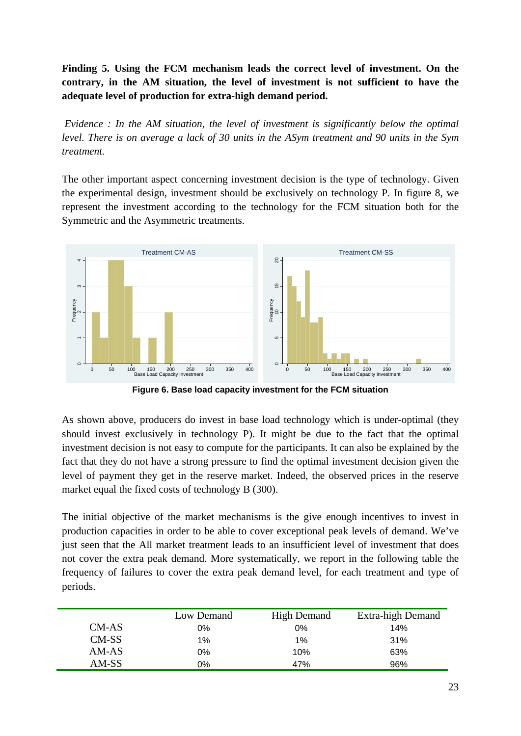**Finding 5. Using the FCM mechanism leads the correct level of investment. On the contrary, in the AM situation, the level of investment is not sufficient to have the adequate level of production for extra-high demand period.** 

 *Evidence : In the AM situation, the level of investment is significantly below the optimal level. There is on average a lack of 30 units in the ASym treatment and 90 units in the Sym treatment.* 

The other important aspect concerning investment decision is the type of technology. Given the experimental design, investment should be exclusively on technology P. In figure 8, we represent the investment according to the technology for the FCM situation both for the Symmetric and the Asymmetric treatments.



**Figure 6. Base load capacity investment for the FCM situation** 

As shown above, producers do invest in base load technology which is under-optimal (they should invest exclusively in technology P). It might be due to the fact that the optimal investment decision is not easy to compute for the participants. It can also be explained by the fact that they do not have a strong pressure to find the optimal investment decision given the level of payment they get in the reserve market. Indeed, the observed prices in the reserve market equal the fixed costs of technology B (300).

The initial objective of the market mechanisms is the give enough incentives to invest in production capacities in order to be able to cover exceptional peak levels of demand. We've just seen that the All market treatment leads to an insufficient level of investment that does not cover the extra peak demand. More systematically, we report in the following table the frequency of failures to cover the extra peak demand level, for each treatment and type of periods.

|         | Low Demand | <b>High Demand</b> | Extra-high Demand |
|---------|------------|--------------------|-------------------|
| CM-AS   | 0%         | $0\%$              | 14%               |
| $CM-SS$ | 1%         | 1%                 | 31%               |
| $AM-AS$ | 0%         | 10%                | 63%               |
| AM-SS   | 0%         | 47%                | 96%               |
|         |            |                    |                   |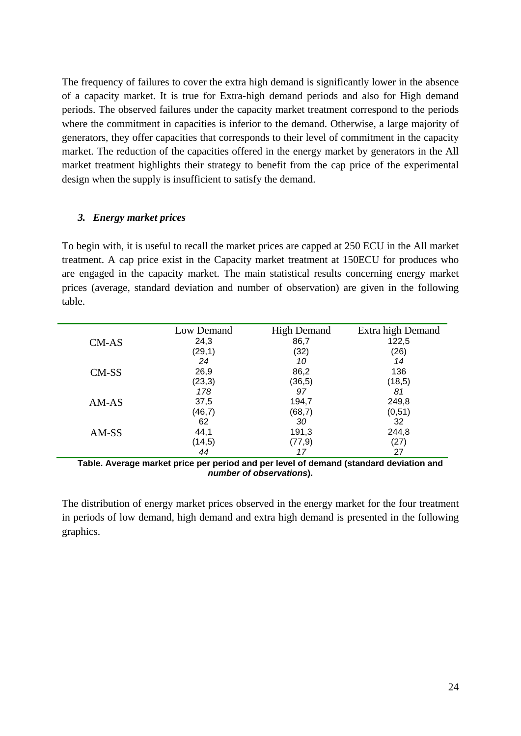The frequency of failures to cover the extra high demand is significantly lower in the absence of a capacity market. It is true for Extra-high demand periods and also for High demand periods. The observed failures under the capacity market treatment correspond to the periods where the commitment in capacities is inferior to the demand. Otherwise, a large majority of generators, they offer capacities that corresponds to their level of commitment in the capacity market. The reduction of the capacities offered in the energy market by generators in the All market treatment highlights their strategy to benefit from the cap price of the experimental design when the supply is insufficient to satisfy the demand.

#### *3. Energy market prices*

To begin with, it is useful to recall the market prices are capped at 250 ECU in the All market treatment. A cap price exist in the Capacity market treatment at 150ECU for produces who are engaged in the capacity market. The main statistical results concerning energy market prices (average, standard deviation and number of observation) are given in the following table.

|       | Low Demand | <b>High Demand</b> | Extra high Demand |
|-------|------------|--------------------|-------------------|
| CM-AS | 24,3       | 86,7               | 122,5             |
|       | (29,1)     | (32)               | (26)              |
|       | 24         | 10                 | 14                |
| CM-SS | 26,9       | 86,2               | 136               |
|       | (23, 3)    | (36, 5)            | (18,5)            |
|       | 178        | 97                 | 81                |
| AM-AS | 37,5       | 194,7              | 249,8             |
|       | (46,7)     | (68,7)             | (0,51)            |
|       | 62         | 30                 | 32                |
| AM-SS | 44,1       | 191,3              | 244,8             |
|       | (14,5)     | (77, 9)            | (27)              |
|       | 44         |                    | 27                |

**Table. Average market price per period and per level of demand (standard deviation and**  *number of observations***).** 

The distribution of energy market prices observed in the energy market for the four treatment in periods of low demand, high demand and extra high demand is presented in the following graphics.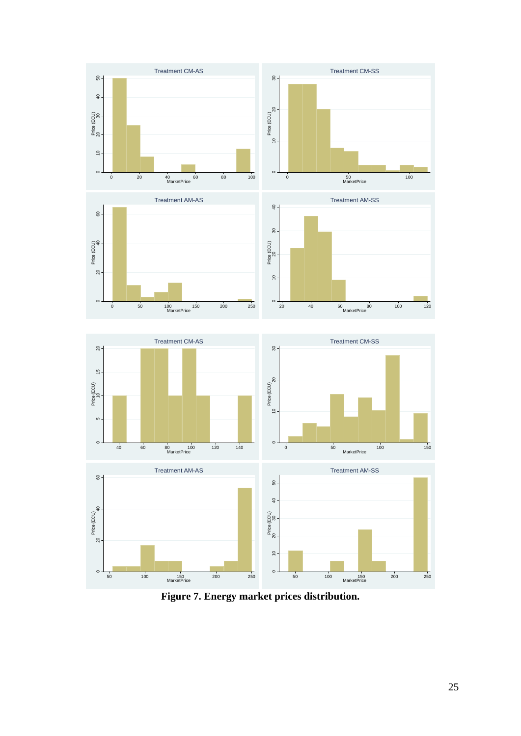

**Figure 7. Energy market prices distribution.**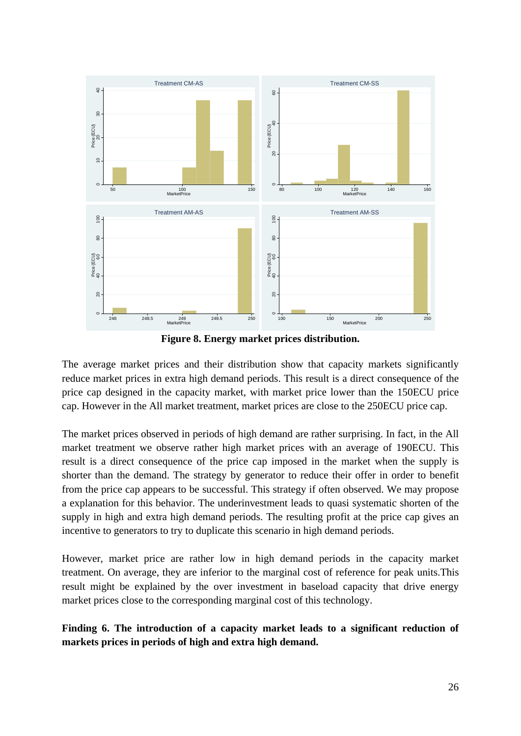

**Figure 8. Energy market prices distribution.** 

The average market prices and their distribution show that capacity markets significantly reduce market prices in extra high demand periods. This result is a direct consequence of the price cap designed in the capacity market, with market price lower than the 150ECU price cap. However in the All market treatment, market prices are close to the 250ECU price cap.

The market prices observed in periods of high demand are rather surprising. In fact, in the All market treatment we observe rather high market prices with an average of 190ECU. This result is a direct consequence of the price cap imposed in the market when the supply is shorter than the demand. The strategy by generator to reduce their offer in order to benefit from the price cap appears to be successful. This strategy if often observed. We may propose a explanation for this behavior. The underinvestment leads to quasi systematic shorten of the supply in high and extra high demand periods. The resulting profit at the price cap gives an incentive to generators to try to duplicate this scenario in high demand periods.

However, market price are rather low in high demand periods in the capacity market treatment. On average, they are inferior to the marginal cost of reference for peak units.This result might be explained by the over investment in baseload capacity that drive energy market prices close to the corresponding marginal cost of this technology.

**Finding 6. The introduction of a capacity market leads to a significant reduction of markets prices in periods of high and extra high demand.**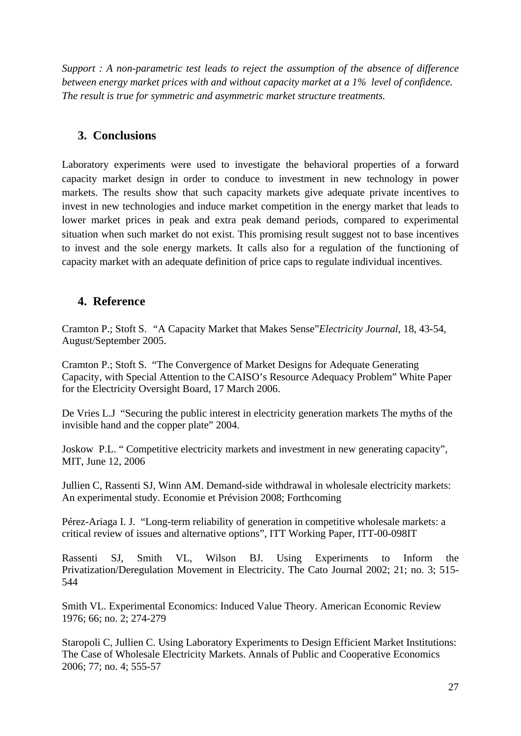*Support : A non-parametric test leads to reject the assumption of the absence of difference between energy market prices with and without capacity market at a 1% level of confidence. The result is true for symmetric and asymmetric market structure treatments.* 

## **3. Conclusions**

Laboratory experiments were used to investigate the behavioral properties of a forward capacity market design in order to conduce to investment in new technology in power markets. The results show that such capacity markets give adequate private incentives to invest in new technologies and induce market competition in the energy market that leads to lower market prices in peak and extra peak demand periods, compared to experimental situation when such market do not exist. This promising result suggest not to base incentives to invest and the sole energy markets. It calls also for a regulation of the functioning of capacity market with an adequate definition of price caps to regulate individual incentives.

## **4. Reference**

Cramton P.; Stoft S. *"*A Capacity Market that Makes Sense"*Electricity Journal*, 18, 43-54, August/September 2005.

Cramton P.; Stoft S. "The Convergence of Market Designs for Adequate Generating Capacity, with Special Attention to the CAISO's Resource Adequacy Problem" White Paper for the Electricity Oversight Board, 17 March 2006.

De Vries L.J "Securing the public interest in electricity generation markets The myths of the invisible hand and the copper plate" 2004.

Joskow P.L. " Competitive electricity markets and investment in new generating capacity", MIT, June 12, 2006

Jullien C, Rassenti SJ, Winn AM. Demand-side withdrawal in wholesale electricity markets: An experimental study. Economie et Prévision 2008; Forthcoming

Pérez-Ariaga I. J. "Long-term reliability of generation in competitive wholesale markets: a critical review of issues and alternative options", ITT Working Paper, ITT-00-098IT

Rassenti SJ, Smith VL, Wilson BJ. Using Experiments to Inform the Privatization/Deregulation Movement in Electricity. The Cato Journal 2002; 21; no. 3; 515- 544

Smith VL. Experimental Economics: Induced Value Theory. American Economic Review 1976; 66; no. 2; 274-279

Staropoli C, Jullien C. Using Laboratory Experiments to Design Efficient Market Institutions: The Case of Wholesale Electricity Markets. Annals of Public and Cooperative Economics 2006; 77; no. 4; 555-57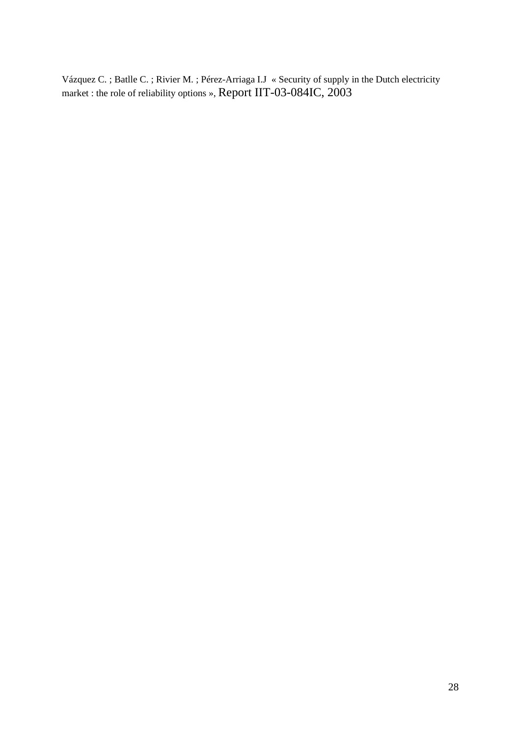Vázquez C. ; Batlle C. ; Rivier M. ; Pérez-Arriaga I.J « Security of supply in the Dutch electricity market : the role of reliability options », Report IIT-03-084IC, 2003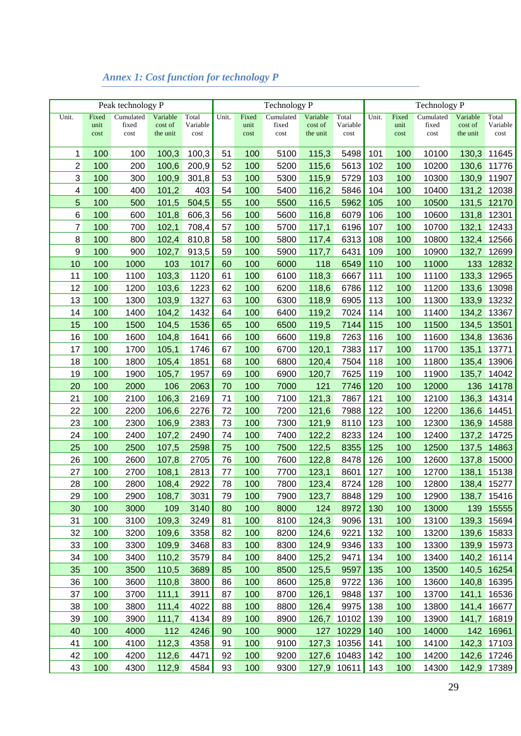|       |              | Peak technology P |                     |                  |          |              | Technology P  |                     |                  |       |              | Technology P  |                     |                  |  |  |
|-------|--------------|-------------------|---------------------|------------------|----------|--------------|---------------|---------------------|------------------|-------|--------------|---------------|---------------------|------------------|--|--|
| Unit. | Fixed        | Cumulated         | Variable            | Total            | Unit.    | Fixed        | Cumulated     | Variable            | Total            | Unit. | Fixed        | Cumulated     | Variable            | Total            |  |  |
|       | unit<br>cost | fixed<br>cost     | cost of<br>the unit | Variable<br>cost |          | unit<br>cost | fixed<br>cost | cost of<br>the unit | Variable<br>cost |       | unit<br>cost | fixed<br>cost | cost of<br>the unit | Variable<br>cost |  |  |
|       |              |                   |                     |                  |          |              |               |                     |                  |       |              |               |                     |                  |  |  |
| 1     | 100          | 100               | 100,3               | 100,3            | 51       | 100          | 5100          | 115,3               | 5498             | 101   | 100          | 10100         | 130,3               | 11645            |  |  |
| 2     | 100          | 200               | 100,6               | 200,9            | 52       | 100          | 5200          | 115,6               | 5613             | 102   | 100          | 10200         | 130,6               | 11776            |  |  |
| 3     | 100          | 300               | 100,9               | 301,8            | 53       | 100          | 5300          | 115,9               | 5729             | 103   | 100          | 10300         | 130,9               | 11907            |  |  |
| 4     | 100          | 400               | 101,2               | 403              | 54       | 100          | 5400          | 116,2               | 5846             | 104   | 100          | 10400         | 131,2               | 12038            |  |  |
| 5     | 100          | 500               | 101,5               | 504,5            | 55       | 100          | 5500          | 116,5               | 5962             | 105   | 100          | 10500         | 131,5               | 12170            |  |  |
| 6     | 100          | 600               | 101,8               | 606,3            | 56       | 100          | 5600          | 116,8               | 6079             | 106   | 100          | 10600         | 131,8               | 12301            |  |  |
| 7     | 100          | 700               | 102,1               | 708,4            | 57       | 100          | 5700          | 117,1               | 6196             | 107   | 100          | 10700         | 132,1               | 12433            |  |  |
| 8     | 100          | 800               | 102,4               | 810,8            | 58       | 100          | 5800          | 117,4               | 6313             | 108   | 100          | 10800         | 132,4               | 12566            |  |  |
| 9     | 100          | 900               | 102,7               | 913,5            | 59       | 100          | 5900          | 117,7               | 6431             | 109   | 100          | 10900         | 132,7               | 12699            |  |  |
| 10    | 100          | 1000              | 103                 | 1017             | 60       | 100          | 6000          | 118                 | 6549             | 110   | 100          | 11000         | 133                 | 12832            |  |  |
| 11    | 100          | 1100              | 103,3               | 1120             | 61       | 100          | 6100          | 118,3               | 6667             | 111   | 100          | 11100         | 133,3               | 12965            |  |  |
| 12    | 100          | 1200              | 103,6               | 1223             | 62       | 100          | 6200          | 118,6               | 6786             | 112   | 100          | 11200         | 133,6               | 13098            |  |  |
| 13    | 100          | 1300              | 103,9               | 1327             | 63       | 100          | 6300          | 118,9               | 6905             | 113   | 100          | 11300         | 133,9               | 13232            |  |  |
| 14    | 100          | 1400              | 104,2               | 1432             | 64       | 100          | 6400          | 119,2               | 7024             | 114   | 100          | 11400         | 134,2               | 13367            |  |  |
| 15    | 100          | 1500              | 104,5               | 1536             | 65       | 100          | 6500          | 119,5               | 7144             | 115   | 100          | 11500         | 134,5               | 13501            |  |  |
| 16    | 100          | 1600              | 104,8               | 1641             | 66       | 100          | 6600          | 119,8               | 7263             | 116   | 100          | 11600         | 134,8               | 13636            |  |  |
| 17    | 100          | 1700              | 105,1               | 1746             | 67       | 100          | 6700          | 120,1               | 7383             | 117   | 100          | 11700         | 135,1               | 13771            |  |  |
|       | 100          | 1800              |                     | 1851             | 68       | 100          |               |                     | 7504             | 118   | 100          | 11800         | 135,4               |                  |  |  |
| 18    |              |                   | 105,4               |                  |          |              | 6800          | 120,4               |                  |       |              |               |                     | 13906            |  |  |
| 19    | 100          | 1900              | 105,7               | 1957             | 69       | 100          | 6900          | 120,7               | 7625             | 119   | 100          | 11900         | 135,7               | 14042            |  |  |
| 20    | 100          | 2000              | 106                 | 2063             | 70<br>71 | 100          | 7000          | 121                 | 7746             | 120   | 100          | 12000         | 136                 | 14178            |  |  |
| 21    | 100          | 2100              | 106,3               | 2169             |          | 100          | 7100          | 121,3               | 7867             | 121   | 100          | 12100         | 136,3               | 14314            |  |  |
| 22    | 100          | 2200              | 106,6               | 2276             | 72       | 100          | 7200          | 121,6               | 7988             | 122   | 100          | 12200         | 136,6               | 14451            |  |  |
| 23    | 100          | 2300              | 106,9               | 2383             | 73       | 100          | 7300          | 121,9               | 8110             | 123   | 100          | 12300         | 136,9               | 14588            |  |  |
| 24    | 100          | 2400              | 107,2               | 2490             | 74       | 100          | 7400          | 122,2               | 8233             | 124   | 100          | 12400         | 137,2               | 14725            |  |  |
| 25    | 100          | 2500              | 107,5               | 2598             | 75       | 100          | 7500          | 122,5               | 8355             | 125   | 100          | 12500         | 137,5               | 14863            |  |  |
| 26    | 100          | 2600              | 107,8               | 2705             | 76       | 100          | 7600          | 122,8               | 8478             | 126   | 100          | 12600         | 137,8               | 15000            |  |  |
| 27    | 100          | 2700              | 108,1               | 2813             | 77       | 100          | 7700          | 123,1               | 8601             | 127   | 100          | 12700         | 138,1               | 15138            |  |  |
| 28    | 100          | 2800              | 108,4               | 2922             | 78       | 100          | 7800          | 123,4               | 8724             | 128   | 100          | 12800         | 138,4               | 15277            |  |  |
| 29    | 100          | 2900              | 108,7               | 3031             | 79       | 100          | 7900          | 123,7               | 8848             | 129   | 100          | 12900         |                     | 138,7 15416      |  |  |
| 30    | 100          | 3000              | 109                 | 3140             | 80       | 100          | 8000          | 124                 | 8972             | 130   | 100          | 13000         | 139                 | 15555            |  |  |
| 31    | 100          | 3100              | 109,3               | 3249             | 81       | 100          | 8100          | 124,3               | 9096             | 131   | 100          | 13100         | 139,3               | 15694            |  |  |
| 32    | 100          | 3200              | 109,6               | 3358             | 82       | 100          | 8200          | 124,6               | 9221             | 132   | 100          | 13200         | 139,6               | 15833            |  |  |
| 33    | 100          | 3300              | 109,9               | 3468             | 83       | 100          | 8300          | 124,9               | 9346             | 133   | 100          | 13300         | 139,9               | 15973            |  |  |
| 34    | 100          | 3400              | 110,2               | 3579             | 84       | 100          | 8400          | 125,2               | 9471             | 134   | 100          | 13400         | 140,2               | 16114            |  |  |
| 35    | 100          | 3500              | 110,5               | 3689             | 85       | 100          | 8500          | 125,5               | 9597             | 135   | 100          | 13500         | 140,5               | 16254            |  |  |
| 36    | 100          | 3600              | 110,8               | 3800             | 86       | 100          | 8600          | 125,8               | 9722             | 136   | 100          | 13600         | 140,8               | 16395            |  |  |
| 37    | 100          | 3700              | 111,1               | 3911             | 87       | 100          | 8700          | 126,1               | 9848             | 137   | 100          | 13700         | 141,1               | 16536            |  |  |
| 38    | 100          | 3800              | 111,4               | 4022             | 88       | 100          | 8800          | 126,4               | 9975             | 138   | 100          | 13800         | 141,4               | 16677            |  |  |
| 39    | 100          | 3900              | 111,7               | 4134             | 89       | 100          | 8900          | 126,7               | 10102            | 139   | 100          | 13900         | 141,7               | 16819            |  |  |
| 40    | 100          | 4000              | 112                 | 4246             | 90       | 100          | 9000          | 127                 | 10229            | 140   | 100          | 14000         |                     | 142 16961        |  |  |
| 41    | 100          | 4100              | 112,3               | 4358             | 91       | 100          | 9100          | 127,3               | 10356            | 141   | 100          | 14100         | 142,3               | 17103            |  |  |
| 42    | 100          | 4200              | 112,6               | 4471             | 92       | 100          | 9200          |                     | 127,6 10483      | 142   | 100          | 14200         |                     | 142,6 17246      |  |  |
| 43    | 100          | 4300              | 112,9               | 4584             | 93       | 100          | 9300          |                     | 127,9 10611      | 143   | 100          | 14300         |                     | 142,9 17389      |  |  |

# *Annex 1: Cost function for technology P*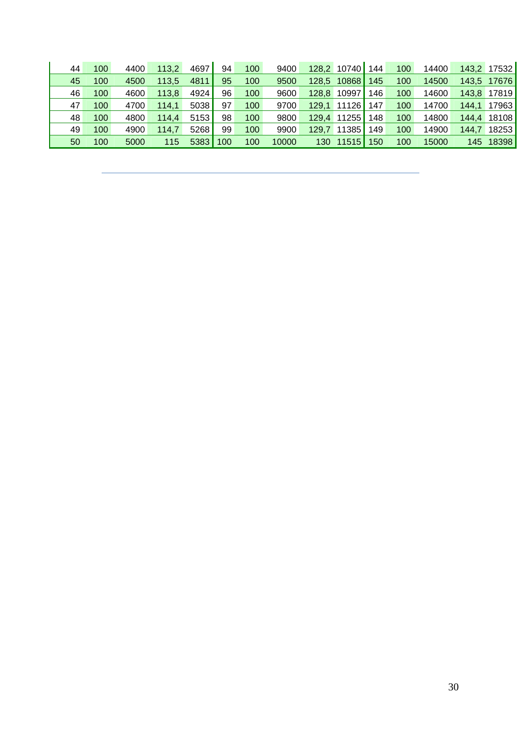| 44 | 100 | 4400 | 113.2 | 4697 | 94  | 100 | 9400  | 128,2 | 10740       | 144 | 100 | 14400 |       | 143,2 17532 |
|----|-----|------|-------|------|-----|-----|-------|-------|-------------|-----|-----|-------|-------|-------------|
| 45 | 100 | 4500 | 113,5 | 4811 | 95  | 100 | 9500  | 128.5 | 10868       | 145 | 100 | 14500 |       | 143,5 17676 |
| 46 | 100 | 4600 | 113.8 | 4924 | 96  | 100 | 9600  | 128.8 | 10997       | 146 | 100 | 14600 | 143,8 | 17819       |
| 47 | 100 | 4700 | 114.1 | 5038 | 97  | 100 | 9700  | 129.1 | 11126       | 147 | 100 | 14700 | 144,1 | 17963       |
| 48 | 100 | 4800 | 114.4 | 5153 | 98  | 100 | 9800  | 129.4 | 11255       | 148 | 100 | 14800 | 144,4 | 18108       |
| 49 | 100 | 4900 | 114.7 | 5268 | 99  | 100 | 9900  | 129.7 | 11385       | 149 | 100 | 14900 | 144.7 | 18253       |
| 50 | 100 | 5000 | 115   | 5383 | 100 | 100 | 10000 | 130   | $11515$ 150 |     | 100 | 15000 | 145   | 18398       |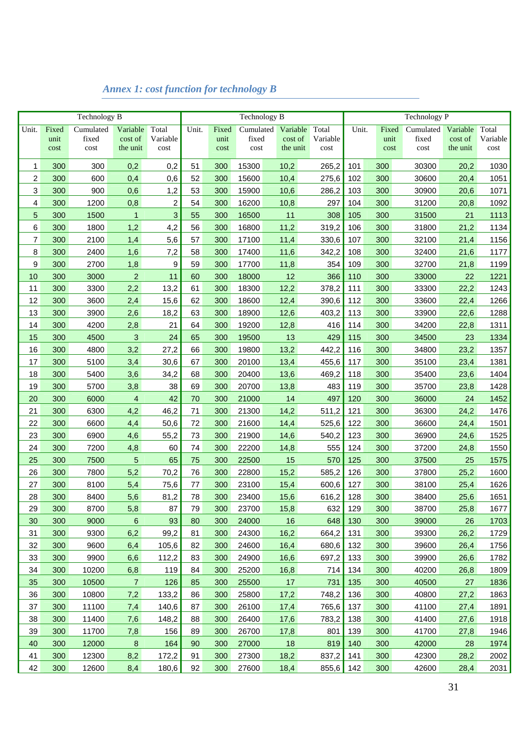|                |       | Technology B |                     |                |       |       | Technology B |                     |             | Technology P |       |           |                     |          |
|----------------|-------|--------------|---------------------|----------------|-------|-------|--------------|---------------------|-------------|--------------|-------|-----------|---------------------|----------|
| Unit.          | Fixed | Cumulated    | Variable            | Total          | Unit. | Fixed | Cumulated    | Variable            | Total       | Unit.        | Fixed | Cumulated | Variable            | Total    |
|                | unit  | fixed        | cost of<br>the unit | Variable       |       | unit  | fixed        | cost of<br>the unit | Variable    |              | unit  | fixed     | cost of<br>the unit | Variable |
|                | cost  | cost         |                     | cost           |       | cost  | cost         |                     | cost        |              | cost  | cost      |                     | cost     |
| 1              | 300   | 300          | 0,2                 | 0,2            | 51    | 300   | 15300        | 10,2                | 265,2       | 101          | 300   | 30300     | 20,2                | 1030     |
| $\overline{c}$ | 300   | 600          | 0,4                 | 0,6            | 52    | 300   | 15600        | 10,4                | 275,6       | 102          | 300   | 30600     | 20,4                | 1051     |
| 3              | 300   | 900          | 0,6                 | 1,2            | 53    | 300   | 15900        | 10,6                | 286,2       | 103          | 300   | 30900     | 20,6                | 1071     |
| 4              | 300   | 1200         | 0,8                 | $\overline{c}$ | 54    | 300   | 16200        | 10,8                | 297         | 104          | 300   | 31200     | 20,8                | 1092     |
| 5              | 300   | 1500         | $\mathbf{1}$        | 3              | 55    | 300   | 16500        | 11                  | 308         | 105          | 300   | 31500     | 21                  | 1113     |
| 6              | 300   | 1800         | 1,2                 | 4,2            | 56    | 300   | 16800        | 11,2                | 319,2       | 106          | 300   | 31800     | 21,2                | 1134     |
| $\overline{7}$ | 300   | 2100         | 1,4                 | 5,6            | 57    | 300   | 17100        | 11,4                | 330,6       | 107          | 300   | 32100     | 21,4                | 1156     |
| 8              | 300   | 2400         | 1,6                 | 7,2            | 58    | 300   | 17400        | 11,6                | 342,2       | 108          | 300   | 32400     | 21,6                | 1177     |
| 9              | 300   | 2700         | 1,8                 | 9              | 59    | 300   | 17700        | 11,8                | 354         | 109          | 300   | 32700     | 21,8                | 1199     |
| 10             | 300   | 3000         | $\overline{c}$      | 11             | 60    | 300   | 18000        | 12                  | 366         | 110          | 300   | 33000     | 22                  | 1221     |
| 11             | 300   | 3300         | 2,2                 | 13,2           | 61    | 300   | 18300        | 12,2                | 378,2       | 111          | 300   | 33300     | 22,2                | 1243     |
| 12             | 300   | 3600         | 2,4                 | 15,6           | 62    | 300   | 18600        | 12,4                | 390,6       | 112          | 300   | 33600     | 22,4                | 1266     |
| 13             | 300   | 3900         | 2,6                 | 18,2           | 63    | 300   | 18900        | 12,6                | 403,2       | 113          | 300   | 33900     | 22,6                | 1288     |
| 14             | 300   | 4200         | 2,8                 | 21             | 64    | 300   | 19200        | 12,8                | 416         | 114          | 300   | 34200     | 22,8                | 1311     |
| 15             | 300   | 4500         | 3                   | 24             | 65    | 300   | 19500        | 13                  | 429         | 115          | 300   | 34500     | 23                  | 1334     |
| 16             | 300   | 4800         | 3,2                 | 27,2           | 66    | 300   | 19800        | 13,2                | 442,2       | 116          | 300   | 34800     | 23,2                | 1357     |
| 17             | 300   | 5100         | 3,4                 | 30,6           | 67    | 300   | 20100        | 13,4                | 455,6       | 117          | 300   | 35100     | 23,4                | 1381     |
| 18             | 300   | 5400         | 3,6                 | 34,2           | 68    | 300   | 20400        | 13,6                | 469,2       | 118          | 300   | 35400     | 23,6                | 1404     |
| 19             | 300   | 5700         | 3,8                 | 38             | 69    | 300   | 20700        | 13,8                | 483         | 119          | 300   | 35700     | 23,8                | 1428     |
| 20             | 300   | 6000         | 4                   | 42             | 70    | 300   | 21000        | 14                  | 497         | 120          | 300   | 36000     | 24                  | 1452     |
| 21             | 300   | 6300         | 4,2                 | 46,2           | 71    | 300   | 21300        | 14,2                | 511,2       | 121          | 300   | 36300     | 24,2                | 1476     |
| 22             | 300   | 6600         | 4,4                 | 50,6           | 72    | 300   | 21600        | 14,4                | 525,6       | 122          | 300   | 36600     | 24,4                | 1501     |
| 23             | 300   | 6900         | 4,6                 | 55,2           | 73    | 300   | 21900        | 14,6                | 540,2       | 123          | 300   | 36900     | 24,6                | 1525     |
| 24             | 300   | 7200         | 4,8                 | 60             | 74    | 300   | 22200        | 14,8                | 555         | 124          | 300   | 37200     | 24,8                | 1550     |
| 25             | 300   | 7500         | 5                   | 65             | 75    | 300   | 22500        | 15                  | 570         | 125          | 300   | 37500     | 25                  | 1575     |
| 26             | 300   | 7800         | 5,2                 | 70,2           | 76    | 300   | 22800        | 15,2                | 585,2       | 126          | 300   | 37800     | 25,2                | 1600     |
| 27             | 300   | 8100         | 5,4                 | 75,6           | 77    | 300   | 23100        | 15,4                | 600,6       | 127          | 300   | 38100     | 25,4                | 1626     |
| 28             | 300   | 8400         | 5,6                 | 81,2           | 78    | 300   | 23400        | 15,6                | 616,2       | 128          | 300   | 38400     | 25,6                | 1651     |
| 29             | 300   | 8700         | 5,8                 | 87             | 79    | 300   | 23700        | 15,8                | 632         | 129          | 300   | 38700     | 25,8                | 1677     |
| 30             | 300   | 9000         | $\,6$               | 93             | 80    | 300   | 24000        | 16                  | 648         | 130          | 300   | 39000     | 26                  | 1703     |
| 31             | 300   | 9300         | 6,2                 | 99,2           | 81    | 300   | 24300        | 16,2                | 664,2       | 131          | 300   | 39300     | 26,2                | 1729     |
| 32             | 300   | 9600         | 6,4                 | 105,6          | 82    | 300   | 24600        | 16,4                | 680,6       | 132          | 300   | 39600     | 26,4                | 1756     |
| 33             | 300   | 9900         | 6,6                 | 112,2          | 83    | 300   | 24900        | 16,6                | 697,2       | 133          | 300   | 39900     | 26,6                | 1782     |
| 34             | 300   | 10200        | 6,8                 | 119            | 84    | 300   | 25200        | 16,8                | 714         | 134          | 300   | 40200     | 26,8                | 1809     |
| 35             | 300   | 10500        | $\overline{7}$      | 126            | 85    | 300   | 25500        | 17                  | 731         | 135          | 300   | 40500     | 27                  | 1836     |
| 36             | 300   | 10800        | 7,2                 | 133,2          | 86    | 300   | 25800        | 17,2                | 748,2       | 136          | 300   | 40800     | 27,2                | 1863     |
| 37             | 300   | 11100        | 7,4                 | 140,6          | 87    | 300   | 26100        | 17,4                | 765,6       | 137          | 300   | 41100     | 27,4                | 1891     |
| 38             | 300   | 11400        | 7,6                 | 148,2          | 88    | 300   | 26400        | 17,6                | 783,2       | 138          | 300   | 41400     | 27,6                | 1918     |
| 39             | 300   | 11700        | 7,8                 | 156            | 89    | 300   | 26700        | 17,8                | 801         | 139          | 300   | 41700     | 27,8                | 1946     |
| 40             | 300   | 12000        | $\boldsymbol{8}$    | 164            | 90    | 300   | 27000        | 18                  | 819         | 140          | 300   | 42000     | 28                  | 1974     |
| 41             | 300   | 12300        | 8,2                 | 172,2          | 91    | 300   | 27300        | 18,2                | 837,2       | 141          | 300   | 42300     | 28,2                | 2002     |
| 42             | 300   | 12600        | 8,4                 | 180,6          | 92    | 300   | 27600        | 18,4                | $855,6$ 142 |              | 300   | 42600     | 28,4                | 2031     |

# *Annex 1: cost function for technology B*